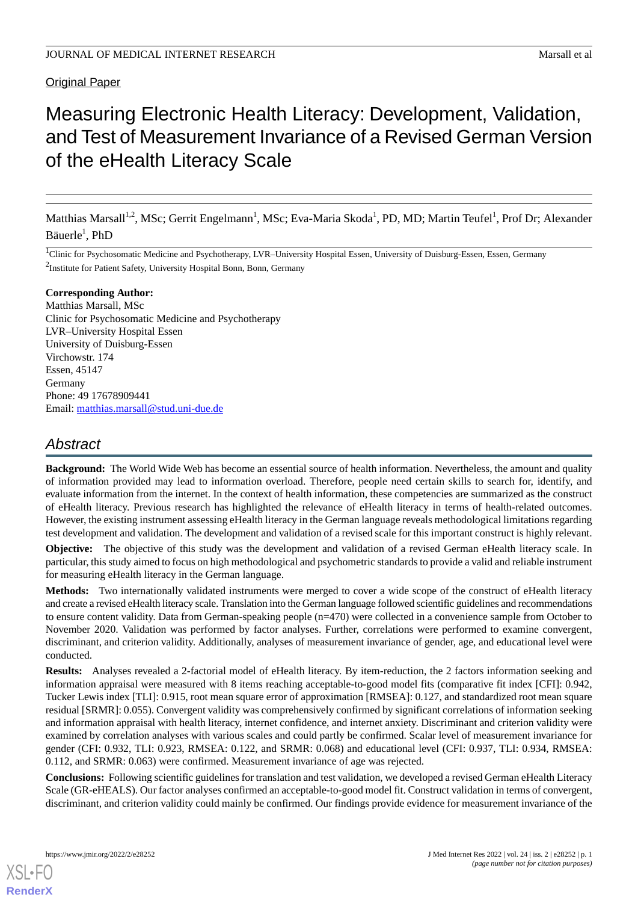# **Original Paper**

# Measuring Electronic Health Literacy: Development, Validation, and Test of Measurement Invariance of a Revised German Version of the eHealth Literacy Scale

Matthias Marsall<sup>1,2</sup>, MSc; Gerrit Engelmann<sup>1</sup>, MSc; Eva-Maria Skoda<sup>1</sup>, PD, MD; Martin Teufel<sup>1</sup>, Prof Dr; Alexander Bäuerle<sup>1</sup>, PhD

<sup>1</sup>Clinic for Psychosomatic Medicine and Psychotherapy, LVR-University Hospital Essen, University of Duisburg-Essen, Essen, Germany <sup>2</sup>Institute for Patient Safety, University Hospital Bonn, Bonn, Germany

#### **Corresponding Author:**

Matthias Marsall, MSc Clinic for Psychosomatic Medicine and Psychotherapy LVR–University Hospital Essen University of Duisburg-Essen Virchowstr. 174 Essen, 45147 Germany Phone: 49 17678909441 Email: [matthias.marsall@stud.uni-due.de](mailto:matthias.marsall@stud.uni-due.de)

# *Abstract*

**Background:** The World Wide Web has become an essential source of health information. Nevertheless, the amount and quality of information provided may lead to information overload. Therefore, people need certain skills to search for, identify, and evaluate information from the internet. In the context of health information, these competencies are summarized as the construct of eHealth literacy. Previous research has highlighted the relevance of eHealth literacy in terms of health-related outcomes. However, the existing instrument assessing eHealth literacy in the German language reveals methodological limitations regarding test development and validation. The development and validation of a revised scale for this important construct is highly relevant.

**Objective:** The objective of this study was the development and validation of a revised German eHealth literacy scale. In particular, this study aimed to focus on high methodological and psychometric standards to provide a valid and reliable instrument for measuring eHealth literacy in the German language.

**Methods:** Two internationally validated instruments were merged to cover a wide scope of the construct of eHealth literacy and create a revised eHealth literacy scale. Translation into the German language followed scientific guidelines and recommendations to ensure content validity. Data from German-speaking people (n=470) were collected in a convenience sample from October to November 2020. Validation was performed by factor analyses. Further, correlations were performed to examine convergent, discriminant, and criterion validity. Additionally, analyses of measurement invariance of gender, age, and educational level were conducted.

**Results:** Analyses revealed a 2-factorial model of eHealth literacy. By item-reduction, the 2 factors information seeking and information appraisal were measured with 8 items reaching acceptable-to-good model fits (comparative fit index [CFI]: 0.942, Tucker Lewis index [TLI]: 0.915, root mean square error of approximation [RMSEA]: 0.127, and standardized root mean square residual [SRMR]: 0.055). Convergent validity was comprehensively confirmed by significant correlations of information seeking and information appraisal with health literacy, internet confidence, and internet anxiety. Discriminant and criterion validity were examined by correlation analyses with various scales and could partly be confirmed. Scalar level of measurement invariance for gender (CFI: 0.932, TLI: 0.923, RMSEA: 0.122, and SRMR: 0.068) and educational level (CFI: 0.937, TLI: 0.934, RMSEA: 0.112, and SRMR: 0.063) were confirmed. Measurement invariance of age was rejected.

**Conclusions:** Following scientific guidelines for translation and test validation, we developed a revised German eHealth Literacy Scale (GR-eHEALS). Our factor analyses confirmed an acceptable-to-good model fit. Construct validation in terms of convergent, discriminant, and criterion validity could mainly be confirmed. Our findings provide evidence for measurement invariance of the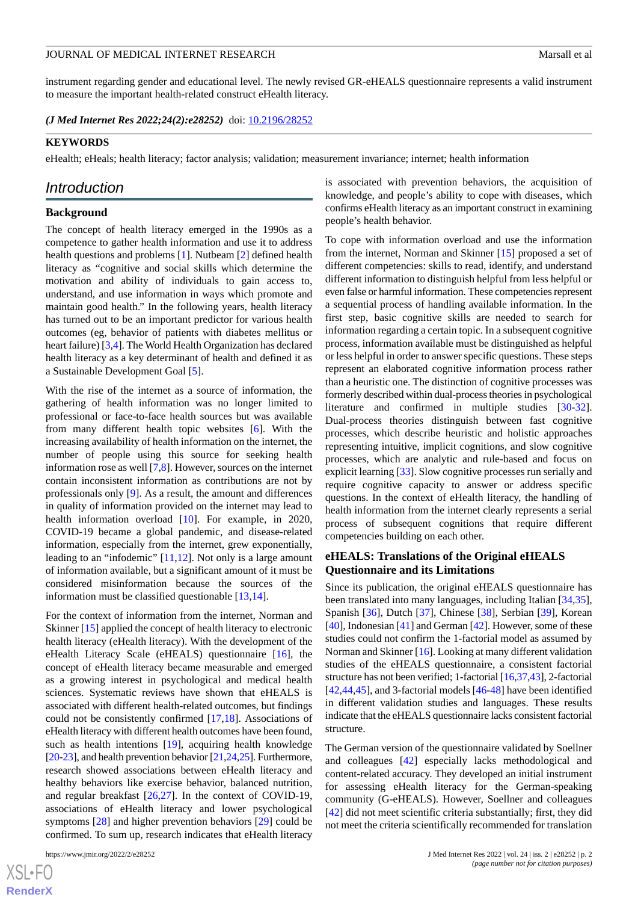instrument regarding gender and educational level. The newly revised GR-eHEALS questionnaire represents a valid instrument to measure the important health-related construct eHealth literacy.

*(J Med Internet Res 2022;24(2):e28252)* doi:  $10.2196/28252$ 

#### **KEYWORDS**

eHealth; eHeals; health literacy; factor analysis; validation; measurement invariance; internet; health information

# *Introduction*

#### **Background**

The concept of health literacy emerged in the 1990s as a competence to gather health information and use it to address health questions and problems [[1\]](#page-11-0). Nutbeam [\[2](#page-11-1)] defined health literacy as "cognitive and social skills which determine the motivation and ability of individuals to gain access to, understand, and use information in ways which promote and maintain good health." In the following years, health literacy has turned out to be an important predictor for various health outcomes (eg, behavior of patients with diabetes mellitus or heart failure) [\[3](#page-11-2),[4](#page-11-3)]. The World Health Organization has declared health literacy as a key determinant of health and defined it as a Sustainable Development Goal [\[5](#page-11-4)].

With the rise of the internet as a source of information, the gathering of health information was no longer limited to professional or face-to-face health sources but was available from many different health topic websites [[6\]](#page-11-5). With the increasing availability of health information on the internet, the number of people using this source for seeking health information rose as well [[7](#page-11-6)[,8](#page-11-7)]. However, sources on the internet contain inconsistent information as contributions are not by professionals only [[9\]](#page-11-8). As a result, the amount and differences in quality of information provided on the internet may lead to health information overload [[10\]](#page-12-0). For example, in 2020, COVID-19 became a global pandemic, and disease-related information, especially from the internet, grew exponentially, leading to an "infodemic" [\[11](#page-12-1),[12\]](#page-12-2). Not only is a large amount of information available, but a significant amount of it must be considered misinformation because the sources of the information must be classified questionable [[13,](#page-12-3)[14](#page-12-4)].

For the context of information from the internet, Norman and Skinner [\[15](#page-12-5)] applied the concept of health literacy to electronic health literacy (eHealth literacy). With the development of the eHealth Literacy Scale (eHEALS) questionnaire [[16\]](#page-12-6), the concept of eHealth literacy became measurable and emerged as a growing interest in psychological and medical health sciences. Systematic reviews have shown that eHEALS is associated with different health-related outcomes, but findings could not be consistently confirmed [[17,](#page-12-7)[18](#page-12-8)]. Associations of eHealth literacy with different health outcomes have been found, such as health intentions [[19\]](#page-12-9), acquiring health knowledge [[20-](#page-12-10)[23](#page-12-11)], and health prevention behavior [\[21](#page-12-12)[,24](#page-12-13)[,25](#page-12-14)]. Furthermore, research showed associations between eHealth literacy and healthy behaviors like exercise behavior, balanced nutrition, and regular breakfast [\[26](#page-12-15),[27\]](#page-12-16). In the context of COVID-19, associations of eHealth literacy and lower psychological symptoms [[28\]](#page-12-17) and higher prevention behaviors [\[29](#page-12-18)] could be confirmed. To sum up, research indicates that eHealth literacy

 $XS$ -FO **[RenderX](http://www.renderx.com/)** is associated with prevention behaviors, the acquisition of knowledge, and people's ability to cope with diseases, which confirms eHealth literacy as an important construct in examining people's health behavior.

To cope with information overload and use the information from the internet, Norman and Skinner [\[15](#page-12-5)] proposed a set of different competencies: skills to read, identify, and understand different information to distinguish helpful from less helpful or even false or harmful information. These competencies represent a sequential process of handling available information. In the first step, basic cognitive skills are needed to search for information regarding a certain topic. In a subsequent cognitive process, information available must be distinguished as helpful or less helpful in order to answer specific questions. These steps represent an elaborated cognitive information process rather than a heuristic one. The distinction of cognitive processes was formerly described within dual-process theories in psychological literature and confirmed in multiple studies [[30-](#page-12-19)[32\]](#page-12-20). Dual-process theories distinguish between fast cognitive processes, which describe heuristic and holistic approaches representing intuitive, implicit cognitions, and slow cognitive processes, which are analytic and rule-based and focus on explicit learning [\[33](#page-12-21)]. Slow cognitive processes run serially and require cognitive capacity to answer or address specific questions. In the context of eHealth literacy, the handling of health information from the internet clearly represents a serial process of subsequent cognitions that require different competencies building on each other.

# **eHEALS: Translations of the Original eHEALS Questionnaire and its Limitations**

Since its publication, the original eHEALS questionnaire has been translated into many languages, including Italian [\[34](#page-13-0),[35\]](#page-13-1), Spanish [[36\]](#page-13-2), Dutch [\[37](#page-13-3)], Chinese [[38\]](#page-13-4), Serbian [[39\]](#page-13-5), Korean [[40\]](#page-13-6), Indonesian [\[41](#page-13-7)] and German [[42\]](#page-13-8). However, some of these studies could not confirm the 1-factorial model as assumed by Norman and Skinner [[16\]](#page-12-6). Looking at many different validation studies of the eHEALS questionnaire, a consistent factorial structure has not been verified; 1-factorial [\[16](#page-12-6)[,37](#page-13-3),[43](#page-13-9)], 2-factorial [[42,](#page-13-8)[44,](#page-13-10)[45\]](#page-13-11), and 3-factorial models [\[46](#page-13-12)-[48\]](#page-13-13) have been identified in different validation studies and languages. These results indicate that the eHEALS questionnaire lacks consistent factorial structure.

The German version of the questionnaire validated by Soellner and colleagues [\[42](#page-13-8)] especially lacks methodological and content-related accuracy. They developed an initial instrument for assessing eHealth literacy for the German-speaking community (G-eHEALS). However, Soellner and colleagues [[42\]](#page-13-8) did not meet scientific criteria substantially; first, they did not meet the criteria scientifically recommended for translation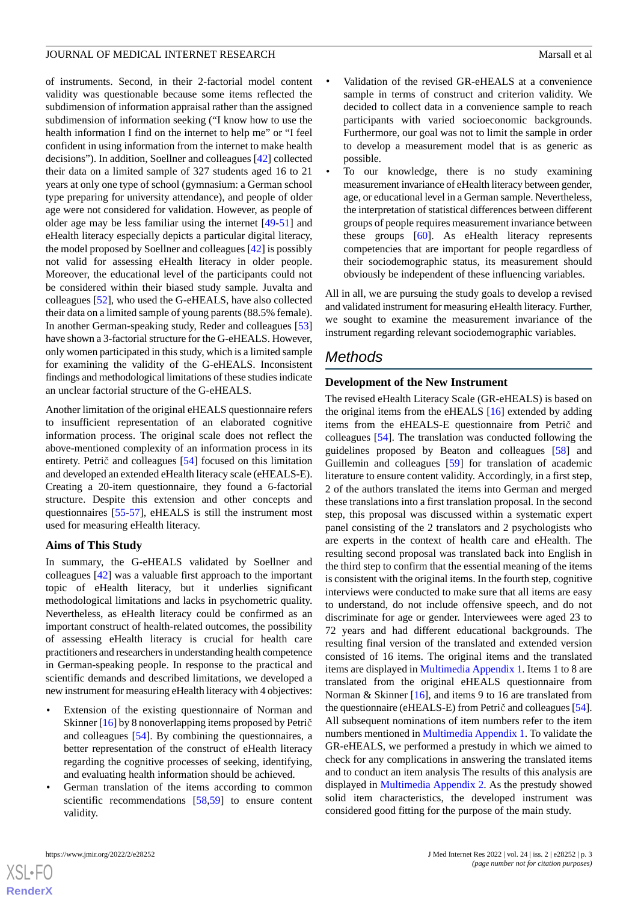of instruments. Second, in their 2-factorial model content validity was questionable because some items reflected the subdimension of information appraisal rather than the assigned subdimension of information seeking ("I know how to use the health information I find on the internet to help me" or "I feel confident in using information from the internet to make health decisions"). In addition, Soellner and colleagues [\[42](#page-13-8)] collected their data on a limited sample of 327 students aged 16 to 21 years at only one type of school (gymnasium: a German school type preparing for university attendance), and people of older age were not considered for validation. However, as people of older age may be less familiar using the internet [\[49](#page-13-14)-[51\]](#page-13-15) and eHealth literacy especially depicts a particular digital literacy, the model proposed by Soellner and colleagues [\[42](#page-13-8)] is possibly not valid for assessing eHealth literacy in older people. Moreover, the educational level of the participants could not be considered within their biased study sample. Juvalta and colleagues [\[52](#page-13-16)], who used the G-eHEALS, have also collected their data on a limited sample of young parents (88.5% female). In another German-speaking study, Reder and colleagues [\[53](#page-13-17)] have shown a 3-factorial structure for the G-eHEALS. However, only women participated in this study, which is a limited sample for examining the validity of the G-eHEALS. Inconsistent findings and methodological limitations of these studies indicate an unclear factorial structure of the G-eHEALS.

Another limitation of the original eHEALS questionnaire refers to insufficient representation of an elaborated cognitive information process. The original scale does not reflect the above-mentioned complexity of an information process in its entirety. Petrič and colleagues [\[54](#page-13-18)] focused on this limitation and developed an extended eHealth literacy scale (eHEALS-E). Creating a 20-item questionnaire, they found a 6-factorial structure. Despite this extension and other concepts and questionnaires [\[55](#page-14-0)-[57\]](#page-14-1), eHEALS is still the instrument most used for measuring eHealth literacy.

#### **Aims of This Study**

In summary, the G-eHEALS validated by Soellner and colleagues [[42\]](#page-13-8) was a valuable first approach to the important topic of eHealth literacy, but it underlies significant methodological limitations and lacks in psychometric quality. Nevertheless, as eHealth literacy could be confirmed as an important construct of health-related outcomes, the possibility of assessing eHealth literacy is crucial for health care practitioners and researchers in understanding health competence in German-speaking people. In response to the practical and scientific demands and described limitations, we developed a new instrument for measuring eHealth literacy with 4 objectives:

- Extension of the existing questionnaire of Norman and Skinner [[16\]](#page-12-6) by 8 nonoverlapping items proposed by Petrič and colleagues [[54\]](#page-13-18). By combining the questionnaires, a better representation of the construct of eHealth literacy regarding the cognitive processes of seeking, identifying, and evaluating health information should be achieved.
- German translation of the items according to common scientific recommendations [\[58](#page-14-2),[59\]](#page-14-3) to ensure content validity.
- Validation of the revised GR-eHEALS at a convenience sample in terms of construct and criterion validity. We decided to collect data in a convenience sample to reach participants with varied socioeconomic backgrounds. Furthermore, our goal was not to limit the sample in order to develop a measurement model that is as generic as possible.
- To our knowledge, there is no study examining measurement invariance of eHealth literacy between gender, age, or educational level in a German sample. Nevertheless, the interpretation of statistical differences between different groups of people requires measurement invariance between these groups [\[60](#page-14-4)]. As eHealth literacy represents competencies that are important for people regardless of their sociodemographic status, its measurement should obviously be independent of these influencing variables.

All in all, we are pursuing the study goals to develop a revised and validated instrument for measuring eHealth literacy. Further, we sought to examine the measurement invariance of the instrument regarding relevant sociodemographic variables.

# *Methods*

#### **Development of the New Instrument**

The revised eHealth Literacy Scale (GR-eHEALS) is based on the original items from the eHEALS [[16\]](#page-12-6) extended by adding items from the eHEALS-E questionnaire from Petrič and colleagues [\[54](#page-13-18)]. The translation was conducted following the guidelines proposed by Beaton and colleagues [\[58](#page-14-2)] and Guillemin and colleagues [\[59](#page-14-3)] for translation of academic literature to ensure content validity. Accordingly, in a first step, 2 of the authors translated the items into German and merged these translations into a first translation proposal. In the second step, this proposal was discussed within a systematic expert panel consisting of the 2 translators and 2 psychologists who are experts in the context of health care and eHealth. The resulting second proposal was translated back into English in the third step to confirm that the essential meaning of the items is consistent with the original items. In the fourth step, cognitive interviews were conducted to make sure that all items are easy to understand, do not include offensive speech, and do not discriminate for age or gender. Interviewees were aged 23 to 72 years and had different educational backgrounds. The resulting final version of the translated and extended version consisted of 16 items. The original items and the translated items are displayed in [Multimedia Appendix 1.](#page-11-9) Items 1 to 8 are translated from the original eHEALS questionnaire from Norman & Skinner [\[16](#page-12-6)], and items 9 to 16 are translated from the questionnaire (eHEALS-E) from Petrič and colleagues [\[54](#page-13-18)]. All subsequent nominations of item numbers refer to the item numbers mentioned in [Multimedia Appendix 1.](#page-11-9) To validate the GR-eHEALS, we performed a prestudy in which we aimed to check for any complications in answering the translated items and to conduct an item analysis The results of this analysis are displayed in [Multimedia Appendix 2.](#page-11-10) As the prestudy showed solid item characteristics, the developed instrument was considered good fitting for the purpose of the main study.

 $XS$  $\cdot$ FC **[RenderX](http://www.renderx.com/)**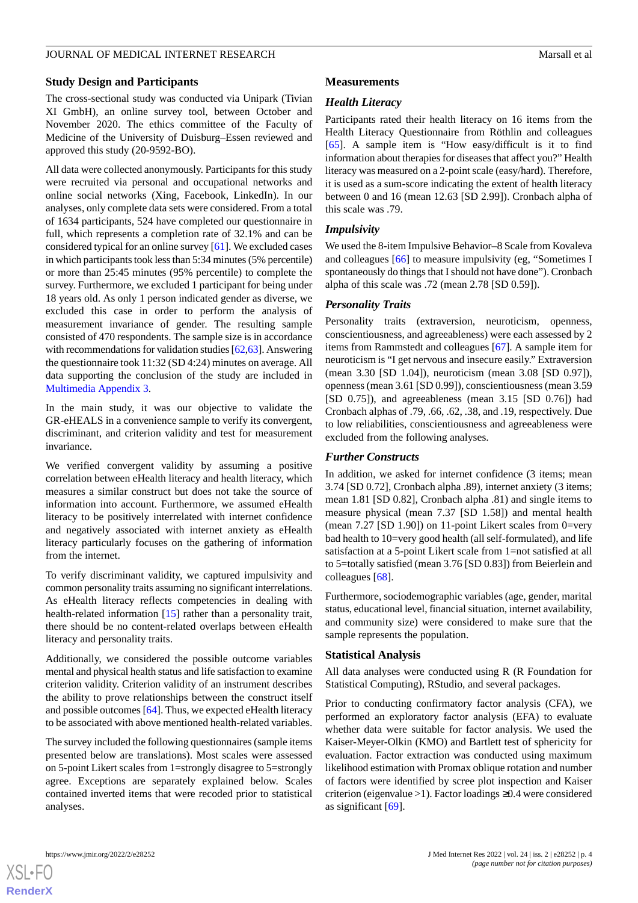# **Study Design and Participants**

The cross-sectional study was conducted via Unipark (Tivian XI GmbH), an online survey tool, between October and November 2020. The ethics committee of the Faculty of Medicine of the University of Duisburg–Essen reviewed and approved this study (20-9592-BO).

All data were collected anonymously. Participants for this study were recruited via personal and occupational networks and online social networks (Xing, Facebook, LinkedIn). In our analyses, only complete data sets were considered. From a total of 1634 participants, 524 have completed our questionnaire in full, which represents a completion rate of 32.1% and can be considered typical for an online survey [\[61](#page-14-5)]. We excluded cases in which participants took less than 5:34 minutes (5% percentile) or more than 25:45 minutes (95% percentile) to complete the survey. Furthermore, we excluded 1 participant for being under 18 years old. As only 1 person indicated gender as diverse, we excluded this case in order to perform the analysis of measurement invariance of gender. The resulting sample consisted of 470 respondents. The sample size is in accordance with recommendations for validation studies [\[62](#page-14-6)[,63](#page-14-7)]. Answering the questionnaire took 11:32 (SD 4:24) minutes on average. All data supporting the conclusion of the study are included in [Multimedia Appendix 3.](#page-11-11)

In the main study, it was our objective to validate the GR-eHEALS in a convenience sample to verify its convergent, discriminant, and criterion validity and test for measurement invariance.

We verified convergent validity by assuming a positive correlation between eHealth literacy and health literacy, which measures a similar construct but does not take the source of information into account. Furthermore, we assumed eHealth literacy to be positively interrelated with internet confidence and negatively associated with internet anxiety as eHealth literacy particularly focuses on the gathering of information from the internet.

To verify discriminant validity, we captured impulsivity and common personality traits assuming no significant interrelations. As eHealth literacy reflects competencies in dealing with health-related information [\[15](#page-12-5)] rather than a personality trait, there should be no content-related overlaps between eHealth literacy and personality traits.

Additionally, we considered the possible outcome variables mental and physical health status and life satisfaction to examine criterion validity. Criterion validity of an instrument describes the ability to prove relationships between the construct itself and possible outcomes [[64\]](#page-14-8). Thus, we expected eHealth literacy to be associated with above mentioned health-related variables.

The survey included the following questionnaires (sample items presented below are translations). Most scales were assessed on 5-point Likert scales from 1=strongly disagree to 5=strongly agree. Exceptions are separately explained below. Scales contained inverted items that were recoded prior to statistical analyses.

#### **Measurements**

# *Health Literacy*

Participants rated their health literacy on 16 items from the Health Literacy Questionnaire from Röthlin and colleagues [[65\]](#page-14-9). A sample item is "How easy/difficult is it to find information about therapies for diseases that affect you?" Health literacy was measured on a 2-point scale (easy/hard). Therefore, it is used as a sum-score indicating the extent of health literacy between 0 and 16 (mean 12.63 [SD 2.99]). Cronbach alpha of this scale was .79.

# *Impulsivity*

We used the 8-item Impulsive Behavior–8 Scale from Kovaleva and colleagues [\[66](#page-14-10)] to measure impulsivity (eg, "Sometimes I spontaneously do things that I should not have done"). Cronbach alpha of this scale was .72 (mean 2.78 [SD 0.59]).

# *Personality Traits*

Personality traits (extraversion, neuroticism, openness, conscientiousness, and agreeableness) were each assessed by 2 items from Rammstedt and colleagues [\[67](#page-14-11)]. A sample item for neuroticism is "I get nervous and insecure easily." Extraversion (mean 3.30 [SD 1.04]), neuroticism (mean 3.08 [SD 0.97]), openness (mean 3.61 [SD 0.99]), conscientiousness (mean 3.59 [SD 0.75]), and agreeableness (mean 3.15 [SD 0.76]) had Cronbach alphas of .79, .66, .62, .38, and .19, respectively. Due to low reliabilities, conscientiousness and agreeableness were excluded from the following analyses.

# *Further Constructs*

In addition, we asked for internet confidence (3 items; mean 3.74 [SD 0.72], Cronbach alpha .89), internet anxiety (3 items; mean 1.81 [SD 0.82], Cronbach alpha .81) and single items to measure physical (mean 7.37 [SD 1.58]) and mental health (mean  $7.27$  [SD 1.90]) on 11-point Likert scales from 0=very bad health to 10=very good health (all self-formulated), and life satisfaction at a 5-point Likert scale from 1=not satisfied at all to 5=totally satisfied (mean 3.76 [SD 0.83]) from Beierlein and colleagues [[68\]](#page-14-12).

Furthermore, sociodemographic variables (age, gender, marital status, educational level, financial situation, internet availability, and community size) were considered to make sure that the sample represents the population.

#### **Statistical Analysis**

All data analyses were conducted using R (R Foundation for Statistical Computing), RStudio, and several packages.

Prior to conducting confirmatory factor analysis (CFA), we performed an exploratory factor analysis (EFA) to evaluate whether data were suitable for factor analysis. We used the Kaiser-Meyer-Olkin (KMO) and Bartlett test of sphericity for evaluation. Factor extraction was conducted using maximum likelihood estimation with Promax oblique rotation and number of factors were identified by scree plot inspection and Kaiser criterion (eigenvalue >1). Factor loadings ≥0.4 were considered as significant [\[69](#page-14-13)].

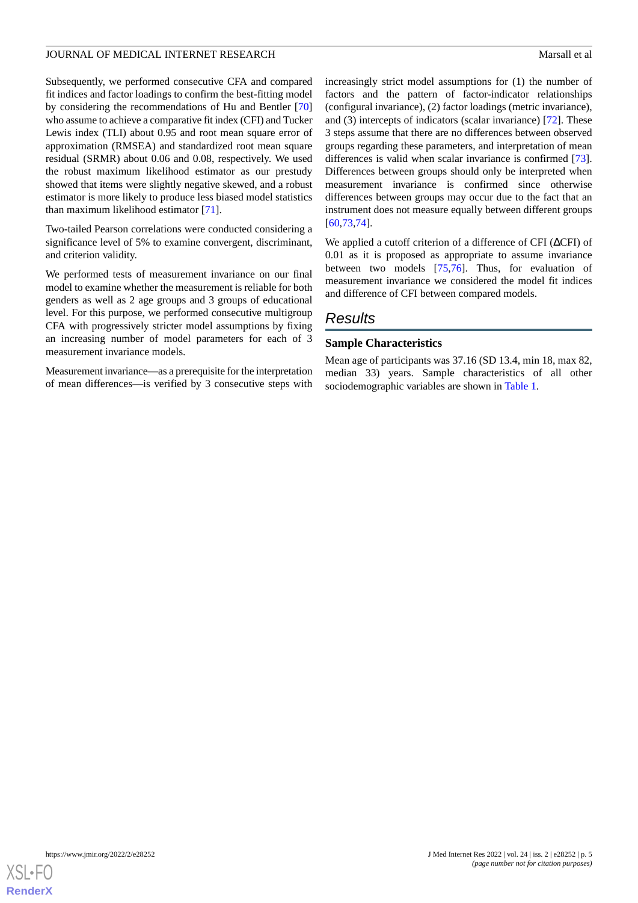Subsequently, we performed consecutive CFA and compared fit indices and factor loadings to confirm the best-fitting model by considering the recommendations of Hu and Bentler [\[70](#page-14-14)] who assume to achieve a comparative fit index (CFI) and Tucker Lewis index (TLI) about 0.95 and root mean square error of approximation (RMSEA) and standardized root mean square residual (SRMR) about 0.06 and 0.08, respectively. We used the robust maximum likelihood estimator as our prestudy showed that items were slightly negative skewed, and a robust estimator is more likely to produce less biased model statistics than maximum likelihood estimator [\[71](#page-14-15)].

Two-tailed Pearson correlations were conducted considering a significance level of 5% to examine convergent, discriminant, and criterion validity.

We performed tests of measurement invariance on our final model to examine whether the measurement is reliable for both genders as well as 2 age groups and 3 groups of educational level. For this purpose, we performed consecutive multigroup CFA with progressively stricter model assumptions by fixing an increasing number of model parameters for each of 3 measurement invariance models.

Measurement invariance—as a prerequisite for the interpretation of mean differences—is verified by 3 consecutive steps with

increasingly strict model assumptions for (1) the number of factors and the pattern of factor-indicator relationships (configural invariance), (2) factor loadings (metric invariance), and (3) intercepts of indicators (scalar invariance) [\[72](#page-14-16)]. These 3 steps assume that there are no differences between observed groups regarding these parameters, and interpretation of mean differences is valid when scalar invariance is confirmed [[73\]](#page-14-17). Differences between groups should only be interpreted when measurement invariance is confirmed since otherwise differences between groups may occur due to the fact that an instrument does not measure equally between different groups [[60,](#page-14-4)[73,](#page-14-17)[74\]](#page-14-18).

We applied a cutoff criterion of a difference of CFI (ΔCFI) of 0.01 as it is proposed as appropriate to assume invariance between two models [\[75](#page-14-19),[76\]](#page-14-20). Thus, for evaluation of measurement invariance we considered the model fit indices and difference of CFI between compared models.

# *Results*

# **Sample Characteristics**

Mean age of participants was 37.16 (SD 13.4, min 18, max 82, median 33) years. Sample characteristics of all other sociodemographic variables are shown in [Table 1.](#page-5-0)

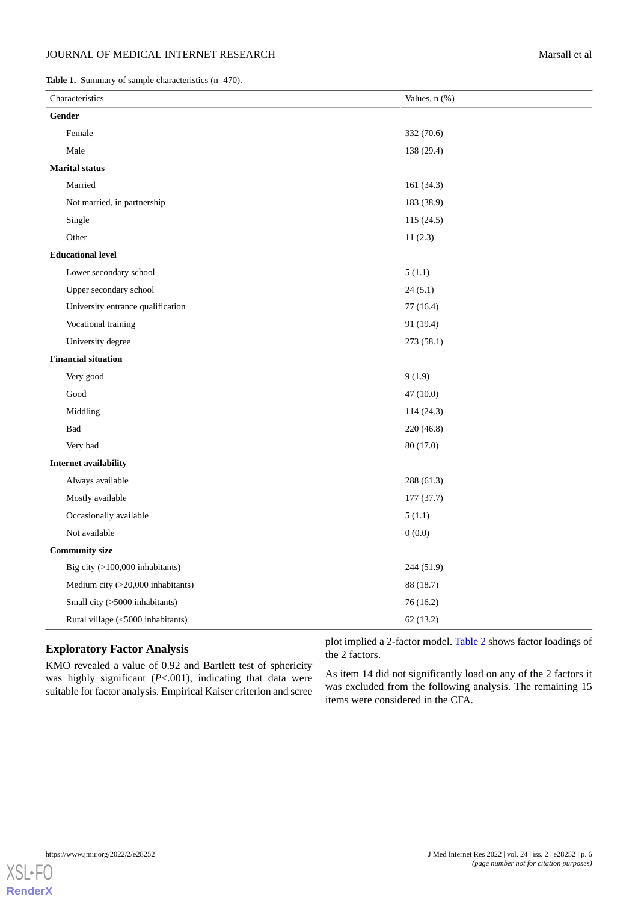# JOURNAL OF MEDICAL INTERNET RESEARCH Marsall et al

<span id="page-5-0"></span>Table 1. Summary of sample characteristics (n=470).

| Characteristics |                                   | Values, $n$ $(\%)$ |  |  |  |  |
|-----------------|-----------------------------------|--------------------|--|--|--|--|
|                 | Gender                            |                    |  |  |  |  |
|                 | Female                            | 332 (70.6)         |  |  |  |  |
|                 | Male                              | 138 (29.4)         |  |  |  |  |
|                 | <b>Marital status</b>             |                    |  |  |  |  |
|                 | Married                           | 161(34.3)          |  |  |  |  |
|                 | Not married, in partnership       | 183 (38.9)         |  |  |  |  |
|                 | Single                            | 115 (24.5)         |  |  |  |  |
|                 | Other                             | 11(2.3)            |  |  |  |  |
|                 | <b>Educational level</b>          |                    |  |  |  |  |
|                 | Lower secondary school            | 5(1.1)             |  |  |  |  |
|                 | Upper secondary school            | 24(5.1)            |  |  |  |  |
|                 | University entrance qualification | 77(16.4)           |  |  |  |  |
|                 | Vocational training               | 91 (19.4)          |  |  |  |  |
|                 | University degree                 | 273 (58.1)         |  |  |  |  |
|                 | <b>Financial situation</b>        |                    |  |  |  |  |
|                 | Very good                         | 9(1.9)             |  |  |  |  |
|                 | Good                              | 47(10.0)           |  |  |  |  |
|                 | Middling                          | 114 (24.3)         |  |  |  |  |
|                 | Bad                               | 220(46.8)          |  |  |  |  |
|                 | Very bad                          | 80 (17.0)          |  |  |  |  |
|                 | Internet availability             |                    |  |  |  |  |
|                 | Always available                  | 288 (61.3)         |  |  |  |  |
|                 | Mostly available                  | 177(37.7)          |  |  |  |  |
|                 | Occasionally available            | 5(1.1)             |  |  |  |  |
|                 | Not available                     | 0(0.0)             |  |  |  |  |
|                 | <b>Community size</b>             |                    |  |  |  |  |
|                 | Big city (>100,000 inhabitants)   | 244 (51.9)         |  |  |  |  |
|                 | Medium city (>20,000 inhabitants) | 88 (18.7)          |  |  |  |  |
|                 | Small city (>5000 inhabitants)    | 76(16.2)           |  |  |  |  |
|                 | Rural village (<5000 inhabitants) | 62(13.2)           |  |  |  |  |

# **Exploratory Factor Analysis**

KMO revealed a value of 0.92 and Bartlett test of sphericity was highly significant (*P*<.001), indicating that data were suitable for factor analysis. Empirical Kaiser criterion and scree plot implied a 2-factor model. [Table 2](#page-6-0) shows factor loadings of the 2 factors.

As item 14 did not significantly load on any of the 2 factors it was excluded from the following analysis. The remaining 15 items were considered in the CFA.

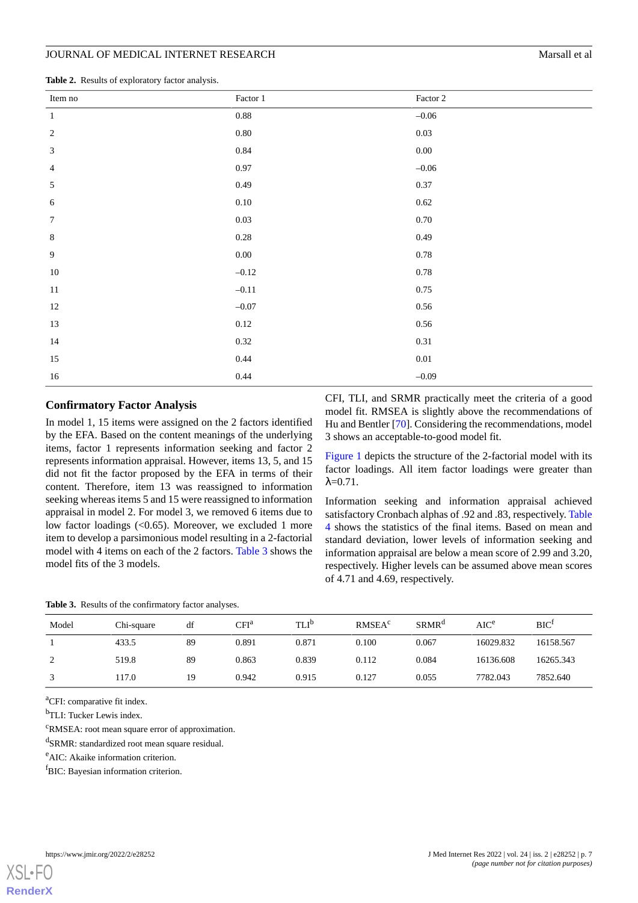<span id="page-6-0"></span>**Table 2.** Results of exploratory factor analysis.

| Item no          | Factor $1\,$ | Factor 2 |
|------------------|--------------|----------|
| $\,1\,$          | $0.88\,$     | $-0.06$  |
| $\sqrt{2}$       | $0.80\,$     | 0.03     |
| $\mathfrak{Z}$   | 0.84         | $0.00\,$ |
| $\overline{4}$   | 0.97         | $-0.06$  |
| $\mathfrak{S}$   | 0.49         | 0.37     |
| $\sqrt{6}$       | $0.10\,$     | 0.62     |
| $\boldsymbol{7}$ | $0.03\,$     | $0.70\,$ |
| $\,8\,$          | $0.28\,$     | 0.49     |
| 9                | $0.00\,$     | 0.78     |
| $10\,$           | $-0.12$      | 0.78     |
| $11\,$           | $-0.11$      | 0.75     |
| 12               | $-0.07$      | 0.56     |
| 13               | $0.12\,$     | 0.56     |
| 14               | 0.32         | 0.31     |
| $15\,$           | 0.44         | $0.01\,$ |
| $16\,$           | 0.44         | $-0.09$  |

#### **Confirmatory Factor Analysis**

In model 1, 15 items were assigned on the 2 factors identified by the EFA. Based on the content meanings of the underlying items, factor 1 represents information seeking and factor 2 represents information appraisal. However, items 13, 5, and 15 did not fit the factor proposed by the EFA in terms of their content. Therefore, item 13 was reassigned to information seeking whereas items 5 and 15 were reassigned to information appraisal in model 2. For model 3, we removed 6 items due to low factor loadings (<0.65). Moreover, we excluded 1 more item to develop a parsimonious model resulting in a 2-factorial model with 4 items on each of the 2 factors. [Table 3](#page-6-1) shows the model fits of the 3 models.

CFI, TLI, and SRMR practically meet the criteria of a good model fit. RMSEA is slightly above the recommendations of Hu and Bentler [\[70](#page-14-14)]. Considering the recommendations, model 3 shows an acceptable-to-good model fit.

[Figure 1](#page-7-0) depicts the structure of the 2-factorial model with its factor loadings. All item factor loadings were greater than  $λ=0.71$ .

Information seeking and information appraisal achieved satisfactory Cronbach alphas of .92 and .83, respectively. [Table](#page-7-1) [4](#page-7-1) shows the statistics of the final items. Based on mean and standard deviation, lower levels of information seeking and information appraisal are below a mean score of 2.99 and 3.20, respectively. Higher levels can be assumed above mean scores of 4.71 and 4.69, respectively.

<span id="page-6-1"></span>**Table 3.** Results of the confirmatory factor analyses.

| Model | Chi-square | df | CFI <sup>a</sup> | TLI <sup>D</sup> | RMSEA <sup>c</sup> | SRMR <sup>a</sup> | $AIC^e$   | BIC <sup>t</sup> |
|-------|------------|----|------------------|------------------|--------------------|-------------------|-----------|------------------|
|       | 433.5      | 89 | 0.891            | 0.871            | 0.100              | 0.067             | 16029.832 | 16158.567        |
| ∼     | 519.8      | 89 | 0.863            | 0.839            | 0.112              | 0.084             | 16136.608 | 16265.343        |
|       | 117.0      | 19 | 0.942            | 0.915            | 0.127              | 0.055             | 7782.043  | 7852.640         |

<sup>a</sup>CFI: comparative fit index.

<sup>b</sup>TLI: Tucker Lewis index.

<sup>c</sup>RMSEA: root mean square error of approximation.

<sup>d</sup>SRMR: standardized root mean square residual.

<sup>e</sup>AIC: Akaike information criterion.

<sup>f</sup>BIC: Bayesian information criterion.

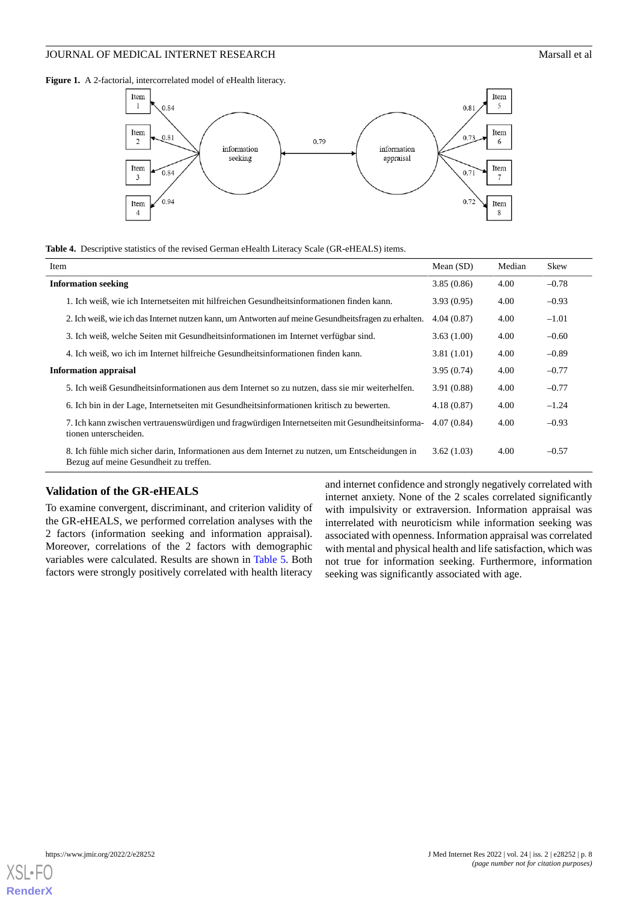<span id="page-7-0"></span>Figure 1. A 2-factorial, intercorrelated model of eHealth literacy.



<span id="page-7-1"></span>

|  |  |  |  |  |  | Table 4. Descriptive statistics of the revised German eHealth Literacy Scale (GR-eHEALS) items. |  |
|--|--|--|--|--|--|-------------------------------------------------------------------------------------------------|--|
|--|--|--|--|--|--|-------------------------------------------------------------------------------------------------|--|

| Item                                                                                                                                     | Mean $(SD)$ | Median | Skew    |
|------------------------------------------------------------------------------------------------------------------------------------------|-------------|--------|---------|
| <b>Information seeking</b>                                                                                                               | 3.85(0.86)  | 4.00   | $-0.78$ |
| 1. Ich weiß, wie ich Internetseiten mit hilfreichen Gesundheitsinformationen finden kann.                                                | 3.93(0.95)  | 4.00   | $-0.93$ |
| 2. Ich weiß, wie ich das Internet nutzen kann, um Antworten auf meine Gesundheitsfragen zu erhalten.                                     | 4.04(0.87)  | 4.00   | $-1.01$ |
| 3. Ich weiß, welche Seiten mit Gesundheitsinformationen im Internet verfügbar sind.                                                      | 3.63(1.00)  | 4.00   | $-0.60$ |
| 4. Ich weiß, wo ich im Internet hilfreiche Gesundheitsinformationen finden kann.                                                         | 3.81(1.01)  | 4.00   | $-0.89$ |
| <b>Information appraisal</b>                                                                                                             | 3.95(0.74)  | 4.00   | $-0.77$ |
| 5. Ich weiß Gesundheitsinformationen aus dem Internet so zu nutzen, dass sie mir weiterhelfen.                                           | 3.91(0.88)  | 4.00   | $-0.77$ |
| 6. Ich bin in der Lage, Internetseiten mit Gesundheitsinformationen kritisch zu bewerten.                                                | 4.18(0.87)  | 4.00   | $-1.24$ |
| 7. Ich kann zwischen vertrauenswürdigen und fragwürdigen Internetseiten mit Gesundheitsinforma-<br>tionen unterscheiden.                 | 4.07(0.84)  | 4.00   | $-0.93$ |
| 8. Ich fühle mich sicher darin, Informationen aus dem Internet zu nutzen, um Entscheidungen in<br>Bezug auf meine Gesundheit zu treffen. | 3.62(1.03)  | 4.00   | $-0.57$ |

#### **Validation of the GR-eHEALS**

To examine convergent, discriminant, and criterion validity of the GR-eHEALS, we performed correlation analyses with the 2 factors (information seeking and information appraisal). Moreover, correlations of the 2 factors with demographic variables were calculated. Results are shown in [Table 5.](#page-8-0) Both factors were strongly positively correlated with health literacy

and internet confidence and strongly negatively correlated with internet anxiety. None of the 2 scales correlated significantly with impulsivity or extraversion. Information appraisal was interrelated with neuroticism while information seeking was associated with openness. Information appraisal was correlated with mental and physical health and life satisfaction, which was not true for information seeking. Furthermore, information seeking was significantly associated with age.

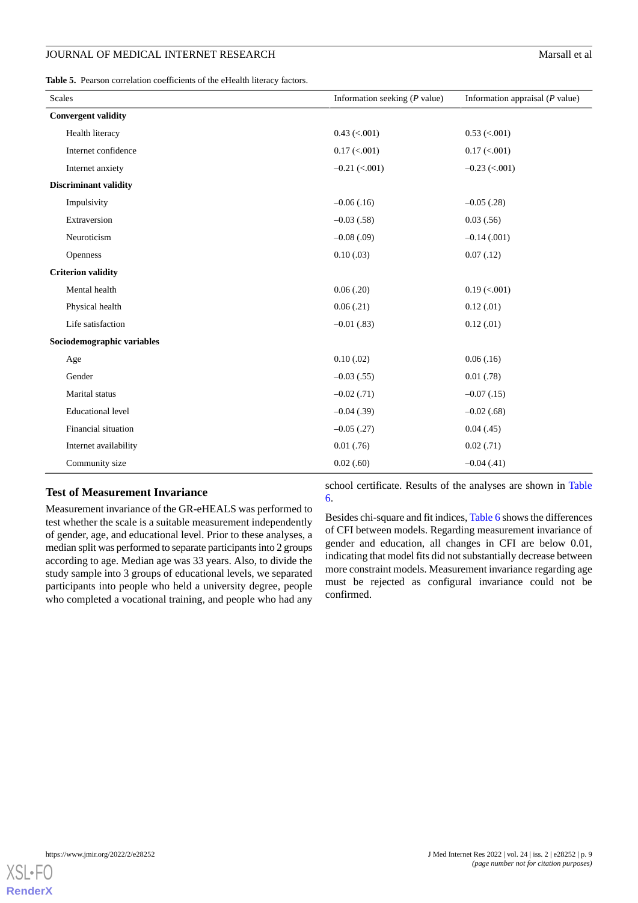<span id="page-8-0"></span>**Table 5.** Pearson correlation coefficients of the eHealth literacy factors.

| <b>Scales</b>                | Information seeking $(P$ value) | Information appraisal $(P$ value) |
|------------------------------|---------------------------------|-----------------------------------|
| <b>Convergent validity</b>   |                                 |                                   |
| Health literacy              | $0.43$ (<.001)                  | $0.53$ (<.001)                    |
| Internet confidence          | $0.17 \, \text{(.001)}$         | $0.17 \, (\le 0.001)$             |
| Internet anxiety             | $-0.21$ (<.001)                 | $-0.23$ (<.001)                   |
| <b>Discriminant validity</b> |                                 |                                   |
| Impulsivity                  | $-0.06$ (.16)                   | $-0.05$ (.28)                     |
| Extraversion                 | $-0.03(0.58)$                   | 0.03(.56)                         |
| Neuroticism                  | $-0.08$ (.09)                   | $-0.14(0.001)$                    |
| Openness                     | 0.10(0.03)                      | 0.07(0.12)                        |
| <b>Criterion validity</b>    |                                 |                                   |
| Mental health                | 0.06(0.20)                      | $0.19$ (<.001)                    |
| Physical health              | 0.06(0.21)                      | 0.12(0.01)                        |
| Life satisfaction            | $-0.01(0.83)$                   | 0.12(0.01)                        |
| Sociodemographic variables   |                                 |                                   |
| Age                          | 0.10(0.02)                      | 0.06(0.16)                        |
| Gender                       | $-0.03(0.55)$                   | 0.01(0.78)                        |
| Marital status               | $-0.02$ (.71)                   | $-0.07(0.15)$                     |
| <b>Educational level</b>     | $-0.04$ (.39)                   | $-0.02$ (.68)                     |
| Financial situation          | $-0.05$ (.27)                   | 0.04(0.45)                        |
| Internet availability        | $0.01$ (.76)                    | 0.02(0.71)                        |
| Community size               | 0.02(0.60)                      | $-0.04(0.41)$                     |

# **Test of Measurement Invariance**

Measurement invariance of the GR-eHEALS was performed to test whether the scale is a suitable measurement independently of gender, age, and educational level. Prior to these analyses, a median split was performed to separate participants into 2 groups according to age. Median age was 33 years. Also, to divide the study sample into 3 groups of educational levels, we separated participants into people who held a university degree, people who completed a vocational training, and people who had any

school certificate. Results of the analyses are shown in [Table](#page-9-0) [6.](#page-9-0)

Besides chi-square and fit indices, [Table 6](#page-9-0) shows the differences of CFI between models. Regarding measurement invariance of gender and education, all changes in CFI are below 0.01, indicating that model fits did not substantially decrease between more constraint models. Measurement invariance regarding age must be rejected as configural invariance could not be confirmed.

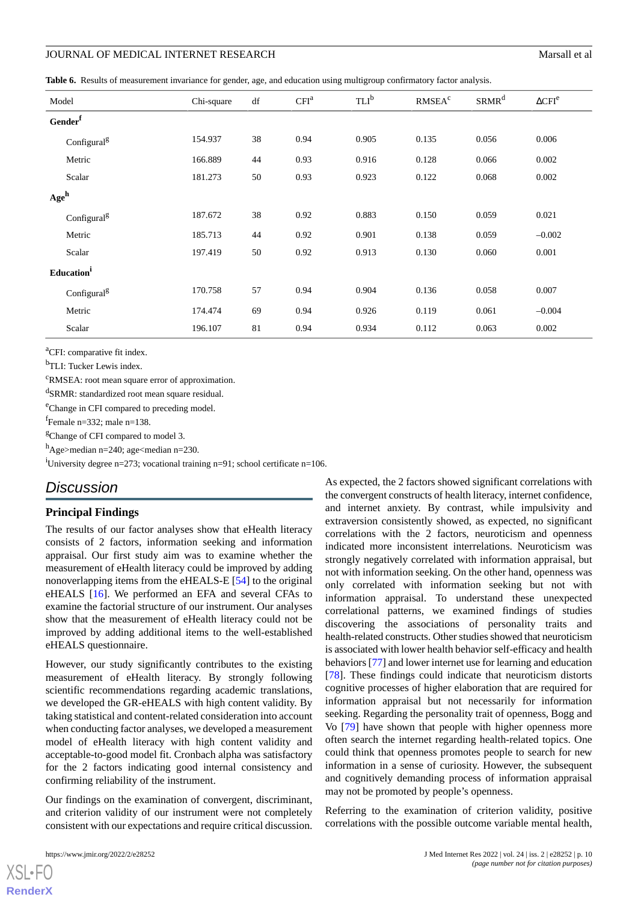<span id="page-9-0"></span>**Table 6.** Results of measurement invariance for gender, age, and education using multigroup confirmatory factor analysis.

| Model               |                         | Chi-square | df | CFI <sup>a</sup> | TLI <sup>b</sup> | RMSEA <sup>c</sup> | SRMR <sup>d</sup> | $\Delta$ CFI <sup>e</sup> |
|---------------------|-------------------------|------------|----|------------------|------------------|--------------------|-------------------|---------------------------|
|                     |                         |            |    |                  |                  |                    |                   |                           |
| Gender <sup>f</sup> |                         |            |    |                  |                  |                    |                   |                           |
|                     | Configural <sup>g</sup> | 154.937    | 38 | 0.94             | 0.905            | 0.135              | 0.056             | 0.006                     |
| Metric              |                         | 166.889    | 44 | 0.93             | 0.916            | 0.128              | 0.066             | 0.002                     |
| Scalar              |                         | 181.273    | 50 | 0.93             | 0.923            | 0.122              | 0.068             | 0.002                     |
| Age <sup>h</sup>    |                         |            |    |                  |                  |                    |                   |                           |
|                     | Configural <sup>g</sup> | 187.672    | 38 | 0.92             | 0.883            | 0.150              | 0.059             | 0.021                     |
| Metric              |                         | 185.713    | 44 | 0.92             | 0.901            | 0.138              | 0.059             | $-0.002$                  |
| Scalar              |                         | 197.419    | 50 | 0.92             | 0.913            | 0.130              | 0.060             | 0.001                     |
| Education           |                         |            |    |                  |                  |                    |                   |                           |
|                     | Configural <sup>g</sup> | 170.758    | 57 | 0.94             | 0.904            | 0.136              | 0.058             | 0.007                     |
| Metric              |                         | 174.474    | 69 | 0.94             | 0.926            | 0.119              | 0.061             | $-0.004$                  |
| Scalar              |                         | 196.107    | 81 | 0.94             | 0.934            | 0.112              | 0.063             | 0.002                     |

<sup>a</sup>CFI: comparative fit index.

b<sub>TLI</sub>: Tucker Lewis index.

<sup>c</sup>RMSEA: root mean square error of approximation.

<sup>d</sup>SRMR: standardized root mean square residual.

<sup>e</sup>Change in CFI compared to preceding model.

f Female n=332; male n=138.

<sup>g</sup>Change of CFI compared to model 3.

h<sub>Age>median n=240; age<median n=230.</sub>

<sup>i</sup>University degree n=273; vocational training n=91; school certificate n=106.

# *Discussion*

#### **Principal Findings**

The results of our factor analyses show that eHealth literacy consists of 2 factors, information seeking and information appraisal. Our first study aim was to examine whether the measurement of eHealth literacy could be improved by adding nonoverlapping items from the eHEALS-E [[54\]](#page-13-18) to the original eHEALS [[16\]](#page-12-6). We performed an EFA and several CFAs to examine the factorial structure of our instrument. Our analyses show that the measurement of eHealth literacy could not be improved by adding additional items to the well-established eHEALS questionnaire.

However, our study significantly contributes to the existing measurement of eHealth literacy. By strongly following scientific recommendations regarding academic translations, we developed the GR-eHEALS with high content validity. By taking statistical and content-related consideration into account when conducting factor analyses, we developed a measurement model of eHealth literacy with high content validity and acceptable-to-good model fit. Cronbach alpha was satisfactory for the 2 factors indicating good internal consistency and confirming reliability of the instrument.

Our findings on the examination of convergent, discriminant, and criterion validity of our instrument were not completely consistent with our expectations and require critical discussion.

As expected, the 2 factors showed significant correlations with the convergent constructs of health literacy, internet confidence, and internet anxiety. By contrast, while impulsivity and extraversion consistently showed, as expected, no significant correlations with the 2 factors, neuroticism and openness indicated more inconsistent interrelations. Neuroticism was strongly negatively correlated with information appraisal, but not with information seeking. On the other hand, openness was only correlated with information seeking but not with information appraisal. To understand these unexpected correlational patterns, we examined findings of studies discovering the associations of personality traits and health-related constructs. Other studies showed that neuroticism is associated with lower health behavior self-efficacy and health behaviors [\[77](#page-14-21)] and lower internet use for learning and education [[78\]](#page-14-22). These findings could indicate that neuroticism distorts cognitive processes of higher elaboration that are required for information appraisal but not necessarily for information seeking. Regarding the personality trait of openness, Bogg and Vo [[79\]](#page-15-0) have shown that people with higher openness more often search the internet regarding health-related topics. One could think that openness promotes people to search for new information in a sense of curiosity. However, the subsequent and cognitively demanding process of information appraisal may not be promoted by people's openness.

Referring to the examination of criterion validity, positive correlations with the possible outcome variable mental health,

```
XSL•FO
RenderX
```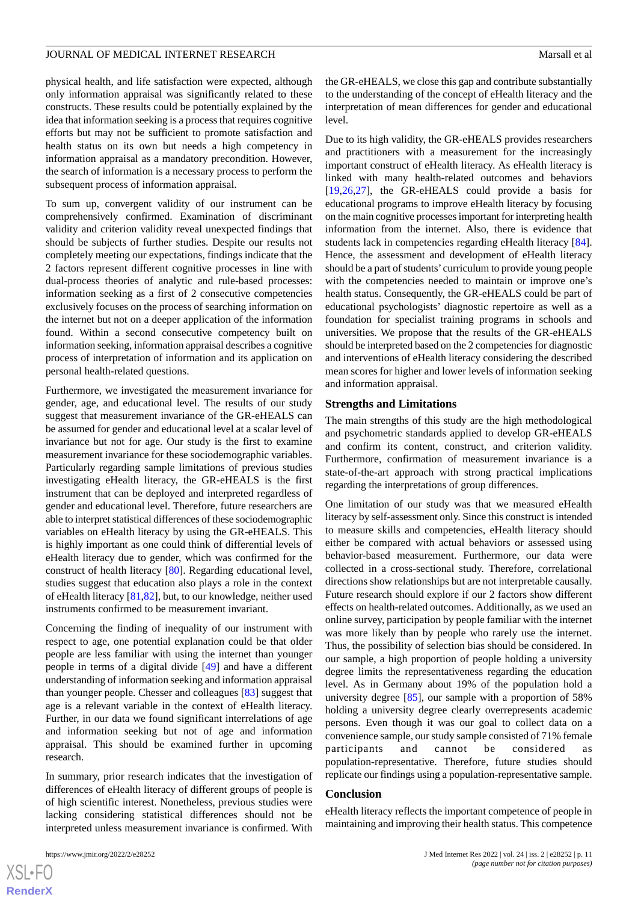physical health, and life satisfaction were expected, although only information appraisal was significantly related to these constructs. These results could be potentially explained by the idea that information seeking is a process that requires cognitive efforts but may not be sufficient to promote satisfaction and health status on its own but needs a high competency in information appraisal as a mandatory precondition. However, the search of information is a necessary process to perform the subsequent process of information appraisal.

To sum up, convergent validity of our instrument can be comprehensively confirmed. Examination of discriminant validity and criterion validity reveal unexpected findings that should be subjects of further studies. Despite our results not completely meeting our expectations, findings indicate that the 2 factors represent different cognitive processes in line with dual-process theories of analytic and rule-based processes: information seeking as a first of 2 consecutive competencies exclusively focuses on the process of searching information on the internet but not on a deeper application of the information found. Within a second consecutive competency built on information seeking, information appraisal describes a cognitive process of interpretation of information and its application on personal health-related questions.

Furthermore, we investigated the measurement invariance for gender, age, and educational level. The results of our study suggest that measurement invariance of the GR-eHEALS can be assumed for gender and educational level at a scalar level of invariance but not for age. Our study is the first to examine measurement invariance for these sociodemographic variables. Particularly regarding sample limitations of previous studies investigating eHealth literacy, the GR-eHEALS is the first instrument that can be deployed and interpreted regardless of gender and educational level. Therefore, future researchers are able to interpret statistical differences of these sociodemographic variables on eHealth literacy by using the GR-eHEALS. This is highly important as one could think of differential levels of eHealth literacy due to gender, which was confirmed for the construct of health literacy [[80\]](#page-15-1). Regarding educational level, studies suggest that education also plays a role in the context of eHealth literacy [[81,](#page-15-2)[82](#page-15-3)], but, to our knowledge, neither used instruments confirmed to be measurement invariant.

Concerning the finding of inequality of our instrument with respect to age, one potential explanation could be that older people are less familiar with using the internet than younger people in terms of a digital divide [[49\]](#page-13-14) and have a different understanding of information seeking and information appraisal than younger people. Chesser and colleagues [\[83](#page-15-4)] suggest that age is a relevant variable in the context of eHealth literacy. Further, in our data we found significant interrelations of age and information seeking but not of age and information appraisal. This should be examined further in upcoming research.

In summary, prior research indicates that the investigation of differences of eHealth literacy of different groups of people is of high scientific interest. Nonetheless, previous studies were lacking considering statistical differences should not be interpreted unless measurement invariance is confirmed. With

 $XS$  $\cdot$ FC **[RenderX](http://www.renderx.com/)** the GR-eHEALS, we close this gap and contribute substantially to the understanding of the concept of eHealth literacy and the interpretation of mean differences for gender and educational level.

Due to its high validity, the GR-eHEALS provides researchers and practitioners with a measurement for the increasingly important construct of eHealth literacy. As eHealth literacy is linked with many health-related outcomes and behaviors [[19,](#page-12-9)[26,](#page-12-15)[27\]](#page-12-16), the GR-eHEALS could provide a basis for educational programs to improve eHealth literacy by focusing on the main cognitive processes important for interpreting health information from the internet. Also, there is evidence that students lack in competencies regarding eHealth literacy [[84\]](#page-15-5). Hence, the assessment and development of eHealth literacy should be a part of students' curriculum to provide young people with the competencies needed to maintain or improve one's health status. Consequently, the GR-eHEALS could be part of educational psychologists' diagnostic repertoire as well as a foundation for specialist training programs in schools and universities. We propose that the results of the GR-eHEALS should be interpreted based on the 2 competencies for diagnostic and interventions of eHealth literacy considering the described mean scores for higher and lower levels of information seeking and information appraisal.

#### **Strengths and Limitations**

The main strengths of this study are the high methodological and psychometric standards applied to develop GR-eHEALS and confirm its content, construct, and criterion validity. Furthermore, confirmation of measurement invariance is a state-of-the-art approach with strong practical implications regarding the interpretations of group differences.

One limitation of our study was that we measured eHealth literacy by self-assessment only. Since this construct is intended to measure skills and competencies, eHealth literacy should either be compared with actual behaviors or assessed using behavior-based measurement. Furthermore, our data were collected in a cross-sectional study. Therefore, correlational directions show relationships but are not interpretable causally. Future research should explore if our 2 factors show different effects on health-related outcomes. Additionally, as we used an online survey, participation by people familiar with the internet was more likely than by people who rarely use the internet. Thus, the possibility of selection bias should be considered. In our sample, a high proportion of people holding a university degree limits the representativeness regarding the education level. As in Germany about 19% of the population hold a university degree [[85\]](#page-15-6), our sample with a proportion of 58% holding a university degree clearly overrepresents academic persons. Even though it was our goal to collect data on a convenience sample, our study sample consisted of 71% female participants and cannot be considered as population-representative. Therefore, future studies should replicate our findings using a population-representative sample.

#### **Conclusion**

eHealth literacy reflects the important competence of people in maintaining and improving their health status. This competence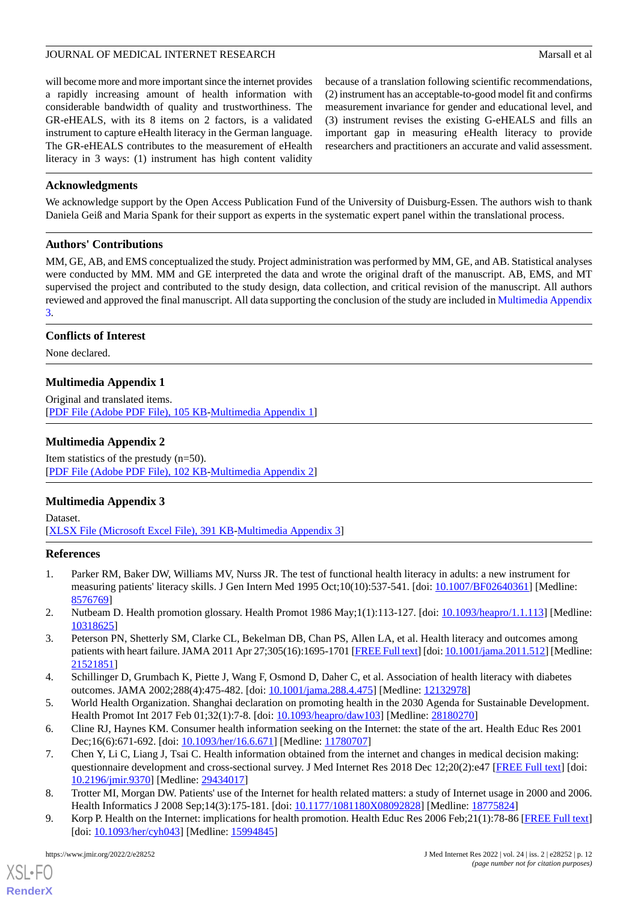will become more and more important since the internet provides a rapidly increasing amount of health information with considerable bandwidth of quality and trustworthiness. The GR-eHEALS, with its 8 items on 2 factors, is a validated instrument to capture eHealth literacy in the German language. The GR-eHEALS contributes to the measurement of eHealth literacy in 3 ways: (1) instrument has high content validity

because of a translation following scientific recommendations, (2) instrument has an acceptable-to-good model fit and confirms measurement invariance for gender and educational level, and (3) instrument revises the existing G-eHEALS and fills an important gap in measuring eHealth literacy to provide researchers and practitioners an accurate and valid assessment.

# **Acknowledgments**

We acknowledge support by the Open Access Publication Fund of the University of Duisburg-Essen. The authors wish to thank Daniela Geiß and Maria Spank for their support as experts in the systematic expert panel within the translational process.

# **Authors' Contributions**

MM, GE, AB, and EMS conceptualized the study. Project administration was performed by MM, GE, and AB. Statistical analyses were conducted by MM. MM and GE interpreted the data and wrote the original draft of the manuscript. AB, EMS, and MT supervised the project and contributed to the study design, data collection, and critical revision of the manuscript. All authors reviewed and approved the final manuscript. All data supporting the conclusion of the study are included in [Multimedia Appendix](#page-11-11) [3.](#page-11-11)

# <span id="page-11-9"></span>**Conflicts of Interest**

None declared.

# **Multimedia Appendix 1**

<span id="page-11-10"></span>Original and translated items. [[PDF File \(Adobe PDF File\), 105 KB](https://jmir.org/api/download?alt_name=jmir_v24i2e28252_app1.pdf&filename=34d1239772373067634217d3351e1ec4.pdf)-[Multimedia Appendix 1\]](https://jmir.org/api/download?alt_name=jmir_v24i2e28252_app1.pdf&filename=34d1239772373067634217d3351e1ec4.pdf)

# **Multimedia Appendix 2**

<span id="page-11-11"></span>Item statistics of the prestudy (n=50). [[PDF File \(Adobe PDF File\), 102 KB](https://jmir.org/api/download?alt_name=jmir_v24i2e28252_app2.pdf&filename=7f976b9a048739f8d9e98a1a31e7b6e7.pdf)-[Multimedia Appendix 2\]](https://jmir.org/api/download?alt_name=jmir_v24i2e28252_app2.pdf&filename=7f976b9a048739f8d9e98a1a31e7b6e7.pdf)

# **Multimedia Appendix 3**

<span id="page-11-0"></span>Dataset. [[XLSX File \(Microsoft Excel File\), 391 KB](https://jmir.org/api/download?alt_name=jmir_v24i2e28252_app3.xlsx&filename=8845764897b991c76f81185eeb79e087.xlsx)-[Multimedia Appendix 3\]](https://jmir.org/api/download?alt_name=jmir_v24i2e28252_app3.xlsx&filename=8845764897b991c76f81185eeb79e087.xlsx)

# <span id="page-11-1"></span>**References**

- <span id="page-11-2"></span>1. Parker RM, Baker DW, Williams MV, Nurss JR. The test of functional health literacy in adults: a new instrument for measuring patients' literacy skills. J Gen Intern Med 1995 Oct;10(10):537-541. [doi: [10.1007/BF02640361\]](http://dx.doi.org/10.1007/BF02640361) [Medline: [8576769\]](http://www.ncbi.nlm.nih.gov/entrez/query.fcgi?cmd=Retrieve&db=PubMed&list_uids=8576769&dopt=Abstract)
- <span id="page-11-3"></span>2. Nutbeam D. Health promotion glossary. Health Promot 1986 May;1(1):113-127. [doi: [10.1093/heapro/1.1.113\]](http://dx.doi.org/10.1093/heapro/1.1.113) [Medline: [10318625](http://www.ncbi.nlm.nih.gov/entrez/query.fcgi?cmd=Retrieve&db=PubMed&list_uids=10318625&dopt=Abstract)]
- <span id="page-11-5"></span><span id="page-11-4"></span>3. Peterson PN, Shetterly SM, Clarke CL, Bekelman DB, Chan PS, Allen LA, et al. Health literacy and outcomes among patients with heart failure. JAMA 2011 Apr 27;305(16):1695-1701 [\[FREE Full text\]](http://europepmc.org/abstract/MED/21521851) [doi: [10.1001/jama.2011.512\]](http://dx.doi.org/10.1001/jama.2011.512) [Medline: [21521851](http://www.ncbi.nlm.nih.gov/entrez/query.fcgi?cmd=Retrieve&db=PubMed&list_uids=21521851&dopt=Abstract)]
- <span id="page-11-6"></span>4. Schillinger D, Grumbach K, Piette J, Wang F, Osmond D, Daher C, et al. Association of health literacy with diabetes outcomes. JAMA 2002;288(4):475-482. [doi: [10.1001/jama.288.4.475](http://dx.doi.org/10.1001/jama.288.4.475)] [Medline: [12132978\]](http://www.ncbi.nlm.nih.gov/entrez/query.fcgi?cmd=Retrieve&db=PubMed&list_uids=12132978&dopt=Abstract)
- <span id="page-11-7"></span>5. World Health Organization. Shanghai declaration on promoting health in the 2030 Agenda for Sustainable Development. Health Promot Int 2017 Feb 01;32(1):7-8. [doi: [10.1093/heapro/daw103\]](http://dx.doi.org/10.1093/heapro/daw103) [Medline: [28180270\]](http://www.ncbi.nlm.nih.gov/entrez/query.fcgi?cmd=Retrieve&db=PubMed&list_uids=28180270&dopt=Abstract)
- <span id="page-11-8"></span>6. Cline RJ, Haynes KM. Consumer health information seeking on the Internet: the state of the art. Health Educ Res 2001 Dec;16(6):671-692. [doi: [10.1093/her/16.6.671](http://dx.doi.org/10.1093/her/16.6.671)] [Medline: [11780707](http://www.ncbi.nlm.nih.gov/entrez/query.fcgi?cmd=Retrieve&db=PubMed&list_uids=11780707&dopt=Abstract)]
- 7. Chen Y, Li C, Liang J, Tsai C. Health information obtained from the internet and changes in medical decision making: questionnaire development and cross-sectional survey. J Med Internet Res 2018 Dec 12;20(2):e47 [\[FREE Full text\]](http://www.jmir.org/2018/2/e47/) [doi: [10.2196/jmir.9370](http://dx.doi.org/10.2196/jmir.9370)] [Medline: [29434017](http://www.ncbi.nlm.nih.gov/entrez/query.fcgi?cmd=Retrieve&db=PubMed&list_uids=29434017&dopt=Abstract)]
- 8. Trotter MI, Morgan DW. Patients' use of the Internet for health related matters: a study of Internet usage in 2000 and 2006. Health Informatics J 2008 Sep;14(3):175-181. [doi: [10.1177/1081180X08092828\]](http://dx.doi.org/10.1177/1081180X08092828) [Medline: [18775824](http://www.ncbi.nlm.nih.gov/entrez/query.fcgi?cmd=Retrieve&db=PubMed&list_uids=18775824&dopt=Abstract)]
- 9. Korp P. Health on the Internet: implications for health promotion. Health Educ Res 2006 Feb; 21(1): 78-86 [[FREE Full text](http://her.oxfordjournals.org/cgi/pmidlookup?view=long&pmid=15994845)] [doi: [10.1093/her/cyh043](http://dx.doi.org/10.1093/her/cyh043)] [Medline: [15994845\]](http://www.ncbi.nlm.nih.gov/entrez/query.fcgi?cmd=Retrieve&db=PubMed&list_uids=15994845&dopt=Abstract)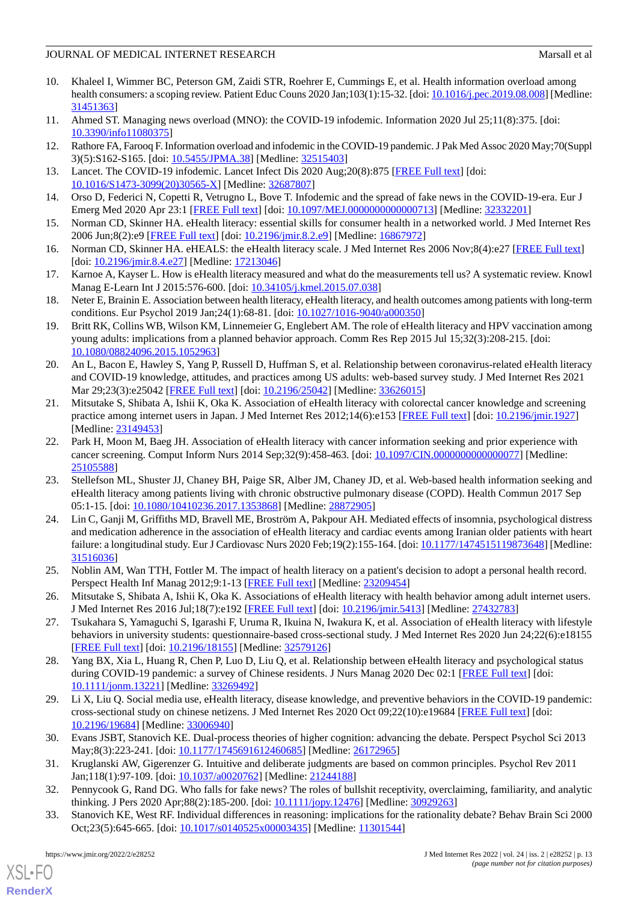- <span id="page-12-0"></span>10. Khaleel I, Wimmer BC, Peterson GM, Zaidi STR, Roehrer E, Cummings E, et al. Health information overload among health consumers: a scoping review. Patient Educ Couns 2020 Jan;103(1):15-32. [doi: [10.1016/j.pec.2019.08.008\]](http://dx.doi.org/10.1016/j.pec.2019.08.008) [Medline: [31451363](http://www.ncbi.nlm.nih.gov/entrez/query.fcgi?cmd=Retrieve&db=PubMed&list_uids=31451363&dopt=Abstract)]
- <span id="page-12-2"></span><span id="page-12-1"></span>11. Ahmed ST. Managing news overload (MNO): the COVID-19 infodemic. Information 2020 Jul 25;11(8):375. [doi: [10.3390/info11080375\]](http://dx.doi.org/10.3390/info11080375)
- <span id="page-12-3"></span>12. Rathore FA, Farooq F. Information overload and infodemic in the COVID-19 pandemic. J Pak Med Assoc 2020 May;70(Suppl 3)(5):S162-S165. [doi: [10.5455/JPMA.38\]](http://dx.doi.org/10.5455/JPMA.38) [Medline: [32515403](http://www.ncbi.nlm.nih.gov/entrez/query.fcgi?cmd=Retrieve&db=PubMed&list_uids=32515403&dopt=Abstract)]
- <span id="page-12-4"></span>13. Lancet. The COVID-19 infodemic. Lancet Infect Dis 2020 Aug;20(8):875 [\[FREE Full text](http://europepmc.org/abstract/MED/32687807)] [doi: [10.1016/S1473-3099\(20\)30565-X\]](http://dx.doi.org/10.1016/S1473-3099(20)30565-X) [Medline: [32687807\]](http://www.ncbi.nlm.nih.gov/entrez/query.fcgi?cmd=Retrieve&db=PubMed&list_uids=32687807&dopt=Abstract)
- <span id="page-12-5"></span>14. Orso D, Federici N, Copetti R, Vetrugno L, Bove T. Infodemic and the spread of fake news in the COVID-19-era. Eur J Emerg Med 2020 Apr 23:1 [\[FREE Full text\]](http://europepmc.org/abstract/MED/32332201) [doi: [10.1097/MEJ.0000000000000713\]](http://dx.doi.org/10.1097/MEJ.0000000000000713) [Medline: [32332201\]](http://www.ncbi.nlm.nih.gov/entrez/query.fcgi?cmd=Retrieve&db=PubMed&list_uids=32332201&dopt=Abstract)
- <span id="page-12-6"></span>15. Norman CD, Skinner HA. eHealth literacy: essential skills for consumer health in a networked world. J Med Internet Res 2006 Jun;8(2):e9 [\[FREE Full text\]](http://www.jmir.org/2006/2/e9/) [doi: [10.2196/jmir.8.2.e9](http://dx.doi.org/10.2196/jmir.8.2.e9)] [Medline: [16867972](http://www.ncbi.nlm.nih.gov/entrez/query.fcgi?cmd=Retrieve&db=PubMed&list_uids=16867972&dopt=Abstract)]
- <span id="page-12-7"></span>16. Norman CD, Skinner HA. eHEALS: the eHealth literacy scale. J Med Internet Res 2006 Nov;8(4):e27 [[FREE Full text](http://www.jmir.org/2006/4/e27/)] [doi: [10.2196/jmir.8.4.e27](http://dx.doi.org/10.2196/jmir.8.4.e27)] [Medline: [17213046](http://www.ncbi.nlm.nih.gov/entrez/query.fcgi?cmd=Retrieve&db=PubMed&list_uids=17213046&dopt=Abstract)]
- <span id="page-12-8"></span>17. Karnoe A, Kayser L. How is eHealth literacy measured and what do the measurements tell us? A systematic review. Knowl Manag E-Learn Int J 2015:576-600. [doi: [10.34105/j.kmel.2015.07.038\]](http://dx.doi.org/10.34105/j.kmel.2015.07.038)
- <span id="page-12-9"></span>18. Neter E, Brainin E. Association between health literacy, eHealth literacy, and health outcomes among patients with long-term conditions. Eur Psychol 2019 Jan;24(1):68-81. [doi: [10.1027/1016-9040/a000350\]](http://dx.doi.org/10.1027/1016-9040/a000350)
- <span id="page-12-10"></span>19. Britt RK, Collins WB, Wilson KM, Linnemeier G, Englebert AM. The role of eHealth literacy and HPV vaccination among young adults: implications from a planned behavior approach. Comm Res Rep 2015 Jul 15;32(3):208-215. [doi: [10.1080/08824096.2015.1052963\]](http://dx.doi.org/10.1080/08824096.2015.1052963)
- <span id="page-12-12"></span>20. An L, Bacon E, Hawley S, Yang P, Russell D, Huffman S, et al. Relationship between coronavirus-related eHealth literacy and COVID-19 knowledge, attitudes, and practices among US adults: web-based survey study. J Med Internet Res 2021 Mar 29;23(3):e25042 [\[FREE Full text\]](https://www.jmir.org/2021/3/e25042/) [doi: [10.2196/25042](http://dx.doi.org/10.2196/25042)] [Medline: [33626015\]](http://www.ncbi.nlm.nih.gov/entrez/query.fcgi?cmd=Retrieve&db=PubMed&list_uids=33626015&dopt=Abstract)
- 21. Mitsutake S, Shibata A, Ishii K, Oka K. Association of eHealth literacy with colorectal cancer knowledge and screening practice among internet users in Japan. J Med Internet Res 2012;14(6):e153 [\[FREE Full text\]](http://www.jmir.org/2012/6/e153/) [doi: [10.2196/jmir.1927\]](http://dx.doi.org/10.2196/jmir.1927) [Medline: [23149453](http://www.ncbi.nlm.nih.gov/entrez/query.fcgi?cmd=Retrieve&db=PubMed&list_uids=23149453&dopt=Abstract)]
- <span id="page-12-11"></span>22. Park H, Moon M, Baeg JH. Association of eHealth literacy with cancer information seeking and prior experience with cancer screening. Comput Inform Nurs 2014 Sep;32(9):458-463. [doi: 10.1097/CIN.00000000000000077] [Medline: [25105588](http://www.ncbi.nlm.nih.gov/entrez/query.fcgi?cmd=Retrieve&db=PubMed&list_uids=25105588&dopt=Abstract)]
- <span id="page-12-13"></span>23. Stellefson ML, Shuster JJ, Chaney BH, Paige SR, Alber JM, Chaney JD, et al. Web-based health information seeking and eHealth literacy among patients living with chronic obstructive pulmonary disease (COPD). Health Commun 2017 Sep 05:1-15. [doi: [10.1080/10410236.2017.1353868](http://dx.doi.org/10.1080/10410236.2017.1353868)] [Medline: [28872905](http://www.ncbi.nlm.nih.gov/entrez/query.fcgi?cmd=Retrieve&db=PubMed&list_uids=28872905&dopt=Abstract)]
- <span id="page-12-15"></span><span id="page-12-14"></span>24. Lin C, Ganji M, Griffiths MD, Bravell ME, Broström A, Pakpour AH. Mediated effects of insomnia, psychological distress and medication adherence in the association of eHealth literacy and cardiac events among Iranian older patients with heart failure: a longitudinal study. Eur J Cardiovasc Nurs 2020 Feb;19(2):155-164. [doi: [10.1177/1474515119873648](http://dx.doi.org/10.1177/1474515119873648)] [Medline: [31516036](http://www.ncbi.nlm.nih.gov/entrez/query.fcgi?cmd=Retrieve&db=PubMed&list_uids=31516036&dopt=Abstract)]
- <span id="page-12-16"></span>25. Noblin AM, Wan TTH, Fottler M. The impact of health literacy on a patient's decision to adopt a personal health record. Perspect Health Inf Manag 2012;9:1-13 [\[FREE Full text\]](http://europepmc.org/abstract/MED/23209454) [Medline: [23209454](http://www.ncbi.nlm.nih.gov/entrez/query.fcgi?cmd=Retrieve&db=PubMed&list_uids=23209454&dopt=Abstract)]
- <span id="page-12-17"></span>26. Mitsutake S, Shibata A, Ishii K, Oka K. Associations of eHealth literacy with health behavior among adult internet users. J Med Internet Res 2016 Jul;18(7):e192 [[FREE Full text\]](http://www.jmir.org/2016/7/e192/) [doi: [10.2196/jmir.5413](http://dx.doi.org/10.2196/jmir.5413)] [Medline: [27432783\]](http://www.ncbi.nlm.nih.gov/entrez/query.fcgi?cmd=Retrieve&db=PubMed&list_uids=27432783&dopt=Abstract)
- <span id="page-12-18"></span>27. Tsukahara S, Yamaguchi S, Igarashi F, Uruma R, Ikuina N, Iwakura K, et al. Association of eHealth literacy with lifestyle behaviors in university students: questionnaire-based cross-sectional study. J Med Internet Res 2020 Jun 24;22(6):e18155 [[FREE Full text](https://www.jmir.org/2020/6/e18155/)] [doi: [10.2196/18155\]](http://dx.doi.org/10.2196/18155) [Medline: [32579126\]](http://www.ncbi.nlm.nih.gov/entrez/query.fcgi?cmd=Retrieve&db=PubMed&list_uids=32579126&dopt=Abstract)
- <span id="page-12-19"></span>28. Yang BX, Xia L, Huang R, Chen P, Luo D, Liu Q, et al. Relationship between eHealth literacy and psychological status during COVID-19 pandemic: a survey of Chinese residents. J Nurs Manag 2020 Dec 02:1 [[FREE Full text\]](http://europepmc.org/abstract/MED/33269492) [doi: [10.1111/jonm.13221\]](http://dx.doi.org/10.1111/jonm.13221) [Medline: [33269492\]](http://www.ncbi.nlm.nih.gov/entrez/query.fcgi?cmd=Retrieve&db=PubMed&list_uids=33269492&dopt=Abstract)
- <span id="page-12-20"></span>29. Li X, Liu Q. Social media use, eHealth literacy, disease knowledge, and preventive behaviors in the COVID-19 pandemic: cross-sectional study on chinese netizens. J Med Internet Res 2020 Oct 09;22(10):e19684 [[FREE Full text](https://www.jmir.org/2020/10/e19684/)] [doi: [10.2196/19684\]](http://dx.doi.org/10.2196/19684) [Medline: [33006940\]](http://www.ncbi.nlm.nih.gov/entrez/query.fcgi?cmd=Retrieve&db=PubMed&list_uids=33006940&dopt=Abstract)
- <span id="page-12-21"></span>30. Evans JSBT, Stanovich KE. Dual-process theories of higher cognition: advancing the debate. Perspect Psychol Sci 2013 May;8(3):223-241. [doi: [10.1177/1745691612460685](http://dx.doi.org/10.1177/1745691612460685)] [Medline: [26172965\]](http://www.ncbi.nlm.nih.gov/entrez/query.fcgi?cmd=Retrieve&db=PubMed&list_uids=26172965&dopt=Abstract)
- 31. Kruglanski AW, Gigerenzer G. Intuitive and deliberate judgments are based on common principles. Psychol Rev 2011 Jan;118(1):97-109. [doi: [10.1037/a0020762\]](http://dx.doi.org/10.1037/a0020762) [Medline: [21244188](http://www.ncbi.nlm.nih.gov/entrez/query.fcgi?cmd=Retrieve&db=PubMed&list_uids=21244188&dopt=Abstract)]
- 32. Pennycook G, Rand DG. Who falls for fake news? The roles of bullshit receptivity, overclaiming, familiarity, and analytic thinking. J Pers 2020 Apr;88(2):185-200. [doi: [10.1111/jopy.12476\]](http://dx.doi.org/10.1111/jopy.12476) [Medline: [30929263\]](http://www.ncbi.nlm.nih.gov/entrez/query.fcgi?cmd=Retrieve&db=PubMed&list_uids=30929263&dopt=Abstract)
- 33. Stanovich KE, West RF. Individual differences in reasoning: implications for the rationality debate? Behav Brain Sci 2000 Oct;23(5):645-665. [doi: [10.1017/s0140525x00003435](http://dx.doi.org/10.1017/s0140525x00003435)] [Medline: [11301544\]](http://www.ncbi.nlm.nih.gov/entrez/query.fcgi?cmd=Retrieve&db=PubMed&list_uids=11301544&dopt=Abstract)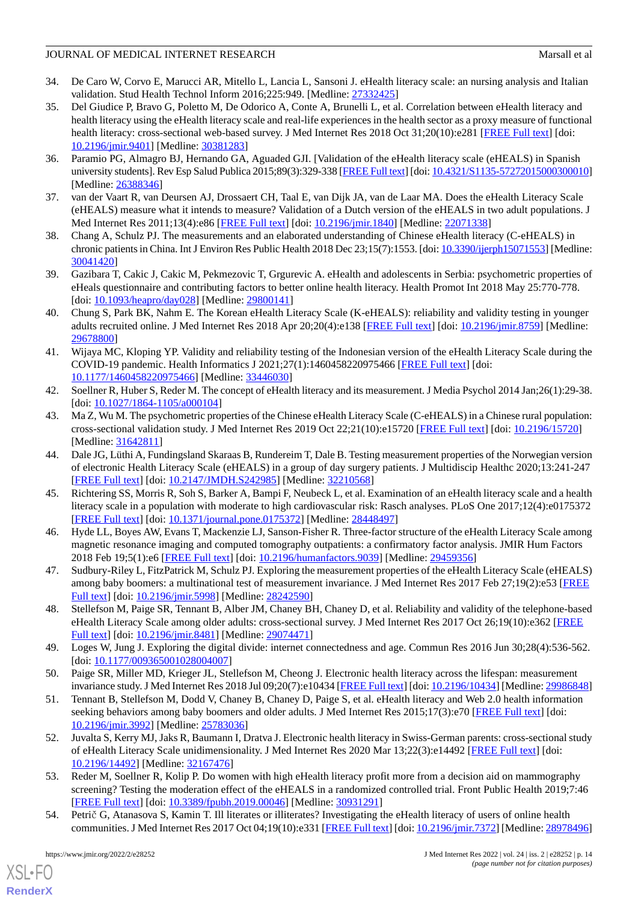- <span id="page-13-0"></span>34. De Caro W, Corvo E, Marucci AR, Mitello L, Lancia L, Sansoni J. eHealth literacy scale: an nursing analysis and Italian validation. Stud Health Technol Inform 2016;225:949. [Medline: [27332425\]](http://www.ncbi.nlm.nih.gov/entrez/query.fcgi?cmd=Retrieve&db=PubMed&list_uids=27332425&dopt=Abstract)
- <span id="page-13-1"></span>35. Del Giudice P, Bravo G, Poletto M, De Odorico A, Conte A, Brunelli L, et al. Correlation between eHealth literacy and health literacy using the eHealth literacy scale and real-life experiences in the health sector as a proxy measure of functional health literacy: cross-sectional web-based survey. J Med Internet Res 2018 Oct 31;20(10):e281 [[FREE Full text](http://www.jmir.org/2018/10/e281/)] [doi: [10.2196/jmir.9401](http://dx.doi.org/10.2196/jmir.9401)] [Medline: [30381283](http://www.ncbi.nlm.nih.gov/entrez/query.fcgi?cmd=Retrieve&db=PubMed&list_uids=30381283&dopt=Abstract)]
- <span id="page-13-2"></span>36. Paramio PG, Almagro BJ, Hernando GA, Aguaded GJI. [Validation of the eHealth literacy scale (eHEALS) in Spanish university students]. Rev Esp Salud Publica 2015;89(3):329-338 [\[FREE Full text\]](http://www.msssi.gob.es/biblioPublic/publicaciones/recursos_propios/resp/revista_cdrom/vol89/vol89_3/RS893C_GPP.pdf) [doi: [10.4321/S1135-57272015000300010\]](http://dx.doi.org/10.4321/S1135-57272015000300010) [Medline: [26388346](http://www.ncbi.nlm.nih.gov/entrez/query.fcgi?cmd=Retrieve&db=PubMed&list_uids=26388346&dopt=Abstract)]
- <span id="page-13-4"></span><span id="page-13-3"></span>37. van der Vaart R, van Deursen AJ, Drossaert CH, Taal E, van Dijk JA, van de Laar MA. Does the eHealth Literacy Scale (eHEALS) measure what it intends to measure? Validation of a Dutch version of the eHEALS in two adult populations. J Med Internet Res 2011;13(4):e86 [[FREE Full text](http://www.jmir.org/2011/4/e86/)] [doi: [10.2196/jmir.1840\]](http://dx.doi.org/10.2196/jmir.1840) [Medline: [22071338](http://www.ncbi.nlm.nih.gov/entrez/query.fcgi?cmd=Retrieve&db=PubMed&list_uids=22071338&dopt=Abstract)]
- <span id="page-13-5"></span>38. Chang A, Schulz PJ. The measurements and an elaborated understanding of Chinese eHealth literacy (C-eHEALS) in chronic patients in China. Int J Environ Res Public Health 2018 Dec 23;15(7):1553. [doi: [10.3390/ijerph15071553\]](http://dx.doi.org/10.3390/ijerph15071553) [Medline: [30041420](http://www.ncbi.nlm.nih.gov/entrez/query.fcgi?cmd=Retrieve&db=PubMed&list_uids=30041420&dopt=Abstract)]
- <span id="page-13-6"></span>39. Gazibara T, Cakic J, Cakic M, Pekmezovic T, Grgurevic A. eHealth and adolescents in Serbia: psychometric properties of eHeals questionnaire and contributing factors to better online health literacy. Health Promot Int 2018 May 25:770-778. [doi: [10.1093/heapro/day028\]](http://dx.doi.org/10.1093/heapro/day028) [Medline: [29800141](http://www.ncbi.nlm.nih.gov/entrez/query.fcgi?cmd=Retrieve&db=PubMed&list_uids=29800141&dopt=Abstract)]
- <span id="page-13-7"></span>40. Chung S, Park BK, Nahm E. The Korean eHealth Literacy Scale (K-eHEALS): reliability and validity testing in younger adults recruited online. J Med Internet Res 2018 Apr 20;20(4):e138 [\[FREE Full text\]](http://www.jmir.org/2018/4/e138/) [doi: [10.2196/jmir.8759\]](http://dx.doi.org/10.2196/jmir.8759) [Medline: [29678800](http://www.ncbi.nlm.nih.gov/entrez/query.fcgi?cmd=Retrieve&db=PubMed&list_uids=29678800&dopt=Abstract)]
- <span id="page-13-8"></span>41. Wijaya MC, Kloping YP. Validity and reliability testing of the Indonesian version of the eHealth Literacy Scale during the COVID-19 pandemic. Health Informatics J 2021;27(1):1460458220975466 [[FREE Full text](https://journals.sagepub.com/doi/10.1177/1460458220975466?url_ver=Z39.88-2003&rfr_id=ori:rid:crossref.org&rfr_dat=cr_pub%3dpubmed)] [doi: [10.1177/1460458220975466\]](http://dx.doi.org/10.1177/1460458220975466) [Medline: [33446030\]](http://www.ncbi.nlm.nih.gov/entrez/query.fcgi?cmd=Retrieve&db=PubMed&list_uids=33446030&dopt=Abstract)
- <span id="page-13-9"></span>42. Soellner R, Huber S, Reder M. The concept of eHealth literacy and its measurement. J Media Psychol 2014 Jan;26(1):29-38. [doi: [10.1027/1864-1105/a000104\]](http://dx.doi.org/10.1027/1864-1105/a000104)
- <span id="page-13-10"></span>43. Ma Z, Wu M. The psychometric properties of the Chinese eHealth Literacy Scale (C-eHEALS) in a Chinese rural population: cross-sectional validation study. J Med Internet Res 2019 Oct 22;21(10):e15720 [[FREE Full text](https://www.jmir.org/2019/10/e15720/)] [doi: [10.2196/15720\]](http://dx.doi.org/10.2196/15720) [Medline: [31642811](http://www.ncbi.nlm.nih.gov/entrez/query.fcgi?cmd=Retrieve&db=PubMed&list_uids=31642811&dopt=Abstract)]
- <span id="page-13-11"></span>44. Dale JG, Lüthi A, Fundingsland Skaraas B, Rundereim T, Dale B. Testing measurement properties of the Norwegian version of electronic Health Literacy Scale (eHEALS) in a group of day surgery patients. J Multidiscip Healthc 2020;13:241-247 [[FREE Full text](https://dx.doi.org/10.2147/JMDH.S242985)] [doi: [10.2147/JMDH.S242985](http://dx.doi.org/10.2147/JMDH.S242985)] [Medline: [32210568\]](http://www.ncbi.nlm.nih.gov/entrez/query.fcgi?cmd=Retrieve&db=PubMed&list_uids=32210568&dopt=Abstract)
- <span id="page-13-12"></span>45. Richtering SS, Morris R, Soh S, Barker A, Bampi F, Neubeck L, et al. Examination of an eHealth literacy scale and a health literacy scale in a population with moderate to high cardiovascular risk: Rasch analyses. PLoS One 2017;12(4):e0175372 [[FREE Full text](http://dx.plos.org/10.1371/journal.pone.0175372)] [doi: [10.1371/journal.pone.0175372](http://dx.doi.org/10.1371/journal.pone.0175372)] [Medline: [28448497](http://www.ncbi.nlm.nih.gov/entrez/query.fcgi?cmd=Retrieve&db=PubMed&list_uids=28448497&dopt=Abstract)]
- <span id="page-13-13"></span>46. Hyde LL, Boyes AW, Evans T, Mackenzie LJ, Sanson-Fisher R. Three-factor structure of the eHealth Literacy Scale among magnetic resonance imaging and computed tomography outpatients: a confirmatory factor analysis. JMIR Hum Factors 2018 Feb 19;5(1):e6 [\[FREE Full text](http://humanfactors.jmir.org/2018/1/e6/)] [doi: [10.2196/humanfactors.9039\]](http://dx.doi.org/10.2196/humanfactors.9039) [Medline: [29459356\]](http://www.ncbi.nlm.nih.gov/entrez/query.fcgi?cmd=Retrieve&db=PubMed&list_uids=29459356&dopt=Abstract)
- <span id="page-13-14"></span>47. Sudbury-Riley L, FitzPatrick M, Schulz PJ. Exploring the measurement properties of the eHealth Literacy Scale (eHEALS) among baby boomers: a multinational test of measurement invariance. J Med Internet Res 2017 Feb 27;19(2):e53 [[FREE](http://www.jmir.org/2017/2/e53/) [Full text\]](http://www.jmir.org/2017/2/e53/) [doi: [10.2196/jmir.5998](http://dx.doi.org/10.2196/jmir.5998)] [Medline: [28242590\]](http://www.ncbi.nlm.nih.gov/entrez/query.fcgi?cmd=Retrieve&db=PubMed&list_uids=28242590&dopt=Abstract)
- 48. Stellefson M, Paige SR, Tennant B, Alber JM, Chaney BH, Chaney D, et al. Reliability and validity of the telephone-based eHealth Literacy Scale among older adults: cross-sectional survey. J Med Internet Res 2017 Oct 26;19(10):e362 [[FREE](http://www.jmir.org/2017/10/e362/) [Full text\]](http://www.jmir.org/2017/10/e362/) [doi: [10.2196/jmir.8481](http://dx.doi.org/10.2196/jmir.8481)] [Medline: [29074471\]](http://www.ncbi.nlm.nih.gov/entrez/query.fcgi?cmd=Retrieve&db=PubMed&list_uids=29074471&dopt=Abstract)
- <span id="page-13-15"></span>49. Loges W, Jung J. Exploring the digital divide: internet connectedness and age. Commun Res 2016 Jun 30;28(4):536-562. [doi: [10.1177/009365001028004007](http://dx.doi.org/10.1177/009365001028004007)]
- <span id="page-13-16"></span>50. Paige SR, Miller MD, Krieger JL, Stellefson M, Cheong J. Electronic health literacy across the lifespan: measurement invariance study. J Med Internet Res 2018 Jul 09;20(7):e10434 [[FREE Full text\]](http://www.jmir.org/2018/7/e10434/) [doi: [10.2196/10434\]](http://dx.doi.org/10.2196/10434) [Medline: [29986848](http://www.ncbi.nlm.nih.gov/entrez/query.fcgi?cmd=Retrieve&db=PubMed&list_uids=29986848&dopt=Abstract)]
- <span id="page-13-17"></span>51. Tennant B, Stellefson M, Dodd V, Chaney B, Chaney D, Paige S, et al. eHealth literacy and Web 2.0 health information seeking behaviors among baby boomers and older adults. J Med Internet Res 2015;17(3):e70 [\[FREE Full text](http://www.jmir.org/2015/3/e70/)] [doi: [10.2196/jmir.3992](http://dx.doi.org/10.2196/jmir.3992)] [Medline: [25783036](http://www.ncbi.nlm.nih.gov/entrez/query.fcgi?cmd=Retrieve&db=PubMed&list_uids=25783036&dopt=Abstract)]
- <span id="page-13-18"></span>52. Juvalta S, Kerry MJ, Jaks R, Baumann I, Dratva J. Electronic health literacy in Swiss-German parents: cross-sectional study of eHealth Literacy Scale unidimensionality. J Med Internet Res 2020 Mar 13;22(3):e14492 [[FREE Full text](https://www.jmir.org/2020/3/e14492/)] [doi: [10.2196/14492\]](http://dx.doi.org/10.2196/14492) [Medline: [32167476\]](http://www.ncbi.nlm.nih.gov/entrez/query.fcgi?cmd=Retrieve&db=PubMed&list_uids=32167476&dopt=Abstract)
- 53. Reder M, Soellner R, Kolip P. Do women with high eHealth literacy profit more from a decision aid on mammography screening? Testing the moderation effect of the eHEALS in a randomized controlled trial. Front Public Health 2019;7:46 [[FREE Full text](https://doi.org/10.3389/fpubh.2019.00046)] [doi: [10.3389/fpubh.2019.00046](http://dx.doi.org/10.3389/fpubh.2019.00046)] [Medline: [30931291\]](http://www.ncbi.nlm.nih.gov/entrez/query.fcgi?cmd=Retrieve&db=PubMed&list_uids=30931291&dopt=Abstract)
- 54. Petrič G, Atanasova S, Kamin T. Ill literates or illiterates? Investigating the eHealth literacy of users of online health communities. J Med Internet Res 2017 Oct 04;19(10):e331 [[FREE Full text\]](https://www.jmir.org/2017/10/e331/) [doi: [10.2196/jmir.7372\]](http://dx.doi.org/10.2196/jmir.7372) [Medline: [28978496](http://www.ncbi.nlm.nih.gov/entrez/query.fcgi?cmd=Retrieve&db=PubMed&list_uids=28978496&dopt=Abstract)]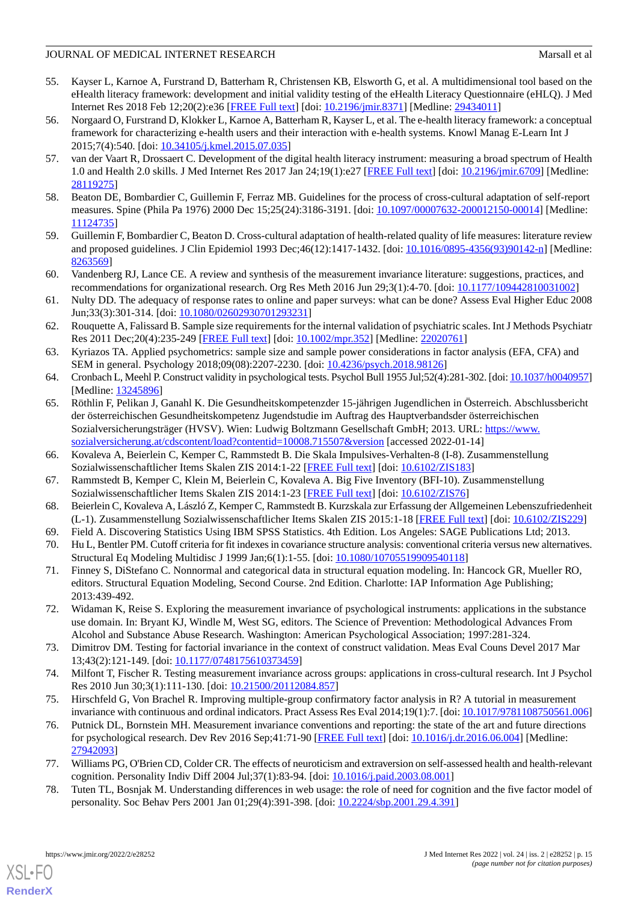- <span id="page-14-0"></span>55. Kayser L, Karnoe A, Furstrand D, Batterham R, Christensen KB, Elsworth G, et al. A multidimensional tool based on the eHealth literacy framework: development and initial validity testing of the eHealth Literacy Questionnaire (eHLQ). J Med Internet Res 2018 Feb 12;20(2):e36 [\[FREE Full text\]](http://www.jmir.org/2018/2/e36/) [doi: [10.2196/jmir.8371\]](http://dx.doi.org/10.2196/jmir.8371) [Medline: [29434011](http://www.ncbi.nlm.nih.gov/entrez/query.fcgi?cmd=Retrieve&db=PubMed&list_uids=29434011&dopt=Abstract)]
- 56. Norgaard O, Furstrand D, Klokker L, Karnoe A, Batterham R, Kayser L, et al. The e-health literacy framework: a conceptual framework for characterizing e-health users and their interaction with e-health systems. Knowl Manag E-Learn Int J 2015;7(4):540. [doi: [10.34105/j.kmel.2015.07.035](http://dx.doi.org/10.34105/j.kmel.2015.07.035)]
- <span id="page-14-1"></span>57. van der Vaart R, Drossaert C. Development of the digital health literacy instrument: measuring a broad spectrum of Health 1.0 and Health 2.0 skills. J Med Internet Res 2017 Jan 24;19(1):e27 [[FREE Full text](http://www.jmir.org/2017/1/e27/)] [doi: [10.2196/jmir.6709](http://dx.doi.org/10.2196/jmir.6709)] [Medline: [28119275](http://www.ncbi.nlm.nih.gov/entrez/query.fcgi?cmd=Retrieve&db=PubMed&list_uids=28119275&dopt=Abstract)]
- <span id="page-14-3"></span><span id="page-14-2"></span>58. Beaton DE, Bombardier C, Guillemin F, Ferraz MB. Guidelines for the process of cross-cultural adaptation of self-report measures. Spine (Phila Pa 1976) 2000 Dec 15;25(24):3186-3191. [doi: [10.1097/00007632-200012150-00014\]](http://dx.doi.org/10.1097/00007632-200012150-00014) [Medline: [11124735](http://www.ncbi.nlm.nih.gov/entrez/query.fcgi?cmd=Retrieve&db=PubMed&list_uids=11124735&dopt=Abstract)]
- <span id="page-14-4"></span>59. Guillemin F, Bombardier C, Beaton D. Cross-cultural adaptation of health-related quality of life measures: literature review and proposed guidelines. J Clin Epidemiol 1993 Dec;46(12):1417-1432. [doi: [10.1016/0895-4356\(93\)90142-n\]](http://dx.doi.org/10.1016/0895-4356(93)90142-n) [Medline: [8263569\]](http://www.ncbi.nlm.nih.gov/entrez/query.fcgi?cmd=Retrieve&db=PubMed&list_uids=8263569&dopt=Abstract)
- <span id="page-14-5"></span>60. Vandenberg RJ, Lance CE. A review and synthesis of the measurement invariance literature: suggestions, practices, and recommendations for organizational research. Org Res Meth 2016 Jun 29;3(1):4-70. [doi: [10.1177/109442810031002](http://dx.doi.org/10.1177/109442810031002)]
- <span id="page-14-6"></span>61. Nulty DD. The adequacy of response rates to online and paper surveys: what can be done? Assess Eval Higher Educ 2008 Jun;33(3):301-314. [doi: [10.1080/02602930701293231\]](http://dx.doi.org/10.1080/02602930701293231)
- <span id="page-14-7"></span>62. Rouquette A, Falissard B. Sample size requirements for the internal validation of psychiatric scales. Int J Methods Psychiatr Res 2011 Dec;20(4):235-249 [\[FREE Full text](http://europepmc.org/abstract/MED/22020761)] [doi: [10.1002/mpr.352\]](http://dx.doi.org/10.1002/mpr.352) [Medline: [22020761\]](http://www.ncbi.nlm.nih.gov/entrez/query.fcgi?cmd=Retrieve&db=PubMed&list_uids=22020761&dopt=Abstract)
- <span id="page-14-9"></span><span id="page-14-8"></span>63. Kyriazos TA. Applied psychometrics: sample size and sample power considerations in factor analysis (EFA, CFA) and SEM in general. Psychology 2018;09(08):2207-2230. [doi: [10.4236/psych.2018.98126](http://dx.doi.org/10.4236/psych.2018.98126)]
- 64. Cronbach L, Meehl P. Construct validity in psychological tests. Psychol Bull 1955 Jul;52(4):281-302. [doi: [10.1037/h0040957\]](http://dx.doi.org/10.1037/h0040957) [Medline: [13245896](http://www.ncbi.nlm.nih.gov/entrez/query.fcgi?cmd=Retrieve&db=PubMed&list_uids=13245896&dopt=Abstract)]
- <span id="page-14-10"></span>65. Röthlin F, Pelikan J, Ganahl K. Die Gesundheitskompetenzder 15-jährigen Jugendlichen in Österreich. Abschlussbericht der österreichischen Gesundheitskompetenz Jugendstudie im Auftrag des Hauptverbandsder österreichischen Sozialversicherungsträger (HVSV). Wien: Ludwig Boltzmann Gesellschaft GmbH; 2013. URL: [https://www.](https://www.sozialversicherung.at/cdscontent/load?contentid=10008.715507&version) [sozialversicherung.at/cdscontent/load?contentid=10008.715507&version](https://www.sozialversicherung.at/cdscontent/load?contentid=10008.715507&version) [accessed 2022-01-14]
- <span id="page-14-12"></span><span id="page-14-11"></span>66. Kovaleva A, Beierlein C, Kemper C, Rammstedt B. Die Skala Impulsives-Verhalten-8 (I-8). Zusammenstellung Sozialwissenschaftlicher Items Skalen ZIS 2014:1-22 [[FREE Full text](https://zis.gesis.org/pdfFiles/Dokumentation/Kovaleva%2B_Impulsives-Verhalten_c.pdf)] [doi: [10.6102/ZIS183\]](http://dx.doi.org/10.6102/ZIS183)
- <span id="page-14-14"></span><span id="page-14-13"></span>67. Rammstedt B, Kemper C, Klein M, Beierlein C, Kovaleva A. Big Five Inventory (BFI-10). Zusammenstellung Sozialwissenschaftlicher Items Skalen ZIS 2014:1-23 [[FREE Full text](https://zis.gesis.org/pdfFiles/Dokumentation/Rammstedt%2B_Big-Five-Inventory_c.pdf)] [doi: [10.6102/ZIS76\]](http://dx.doi.org/10.6102/ZIS76)
- <span id="page-14-15"></span>68. Beierlein C, Kovaleva A, László Z, Kemper C, Rammstedt B. Kurzskala zur Erfassung der Allgemeinen Lebenszufriedenheit (L-1). Zusammenstellung Sozialwissenschaftlicher Items Skalen ZIS 2015:1-18 [\[FREE Full text\]](https://zis.gesis.org/pdfFiles/Dokumentation/Beierlein_%2B_Kurzskala_zur_Erfassung_der_Allgemeinen_Lebenszufriedenheit_(L-1)_c.pdf) [doi: [10.6102/ZIS229](http://dx.doi.org/10.6102/ZIS229)]
- 69. Field A. Discovering Statistics Using IBM SPSS Statistics. 4th Edition. Los Angeles: SAGE Publications Ltd; 2013.
- <span id="page-14-16"></span>70. Hu L, Bentler PM. Cutoff criteria for fit indexes in covariance structure analysis: conventional criteria versus new alternatives. Structural Eq Modeling Multidisc J 1999 Jan;6(1):1-55. [doi: [10.1080/10705519909540118\]](http://dx.doi.org/10.1080/10705519909540118)
- <span id="page-14-17"></span>71. Finney S, DiStefano C. Nonnormal and categorical data in structural equation modeling. In: Hancock GR, Mueller RO, editors. Structural Equation Modeling, Second Course. 2nd Edition. Charlotte: IAP Information Age Publishing; 2013:439-492.
- <span id="page-14-18"></span>72. Widaman K, Reise S. Exploring the measurement invariance of psychological instruments: applications in the substance use domain. In: Bryant KJ, Windle M, West SG, editors. The Science of Prevention: Methodological Advances From Alcohol and Substance Abuse Research. Washington: American Psychological Association; 1997:281-324.
- <span id="page-14-20"></span><span id="page-14-19"></span>73. Dimitrov DM. Testing for factorial invariance in the context of construct validation. Meas Eval Couns Devel 2017 Mar 13;43(2):121-149. [doi: [10.1177/0748175610373459\]](http://dx.doi.org/10.1177/0748175610373459)
- 74. Milfont T, Fischer R. Testing measurement invariance across groups: applications in cross-cultural research. Int J Psychol Res 2010 Jun 30;3(1):111-130. [doi: [10.21500/20112084.857\]](http://dx.doi.org/10.21500/20112084.857)
- <span id="page-14-22"></span><span id="page-14-21"></span>75. Hirschfeld G, Von Brachel R. Improving multiple-group confirmatory factor analysis in R? A tutorial in measurement invariance with continuous and ordinal indicators. Pract Assess Res Eval 2014;19(1):7. [doi: [10.1017/9781108750561.006](http://dx.doi.org/10.1017/9781108750561.006)]
- 76. Putnick DL, Bornstein MH. Measurement invariance conventions and reporting: the state of the art and future directions for psychological research. Dev Rev 2016 Sep;41:71-90 [\[FREE Full text\]](http://europepmc.org/abstract/MED/27942093) [doi: [10.1016/j.dr.2016.06.004](http://dx.doi.org/10.1016/j.dr.2016.06.004)] [Medline: [27942093](http://www.ncbi.nlm.nih.gov/entrez/query.fcgi?cmd=Retrieve&db=PubMed&list_uids=27942093&dopt=Abstract)]
- 77. Williams PG, O'Brien CD, Colder CR. The effects of neuroticism and extraversion on self-assessed health and health-relevant cognition. Personality Indiv Diff 2004 Jul;37(1):83-94. [doi: [10.1016/j.paid.2003.08.001](http://dx.doi.org/10.1016/j.paid.2003.08.001)]
- 78. Tuten TL, Bosnjak M. Understanding differences in web usage: the role of need for cognition and the five factor model of personality. Soc Behav Pers 2001 Jan 01;29(4):391-398. [doi: [10.2224/sbp.2001.29.4.391\]](http://dx.doi.org/10.2224/sbp.2001.29.4.391)